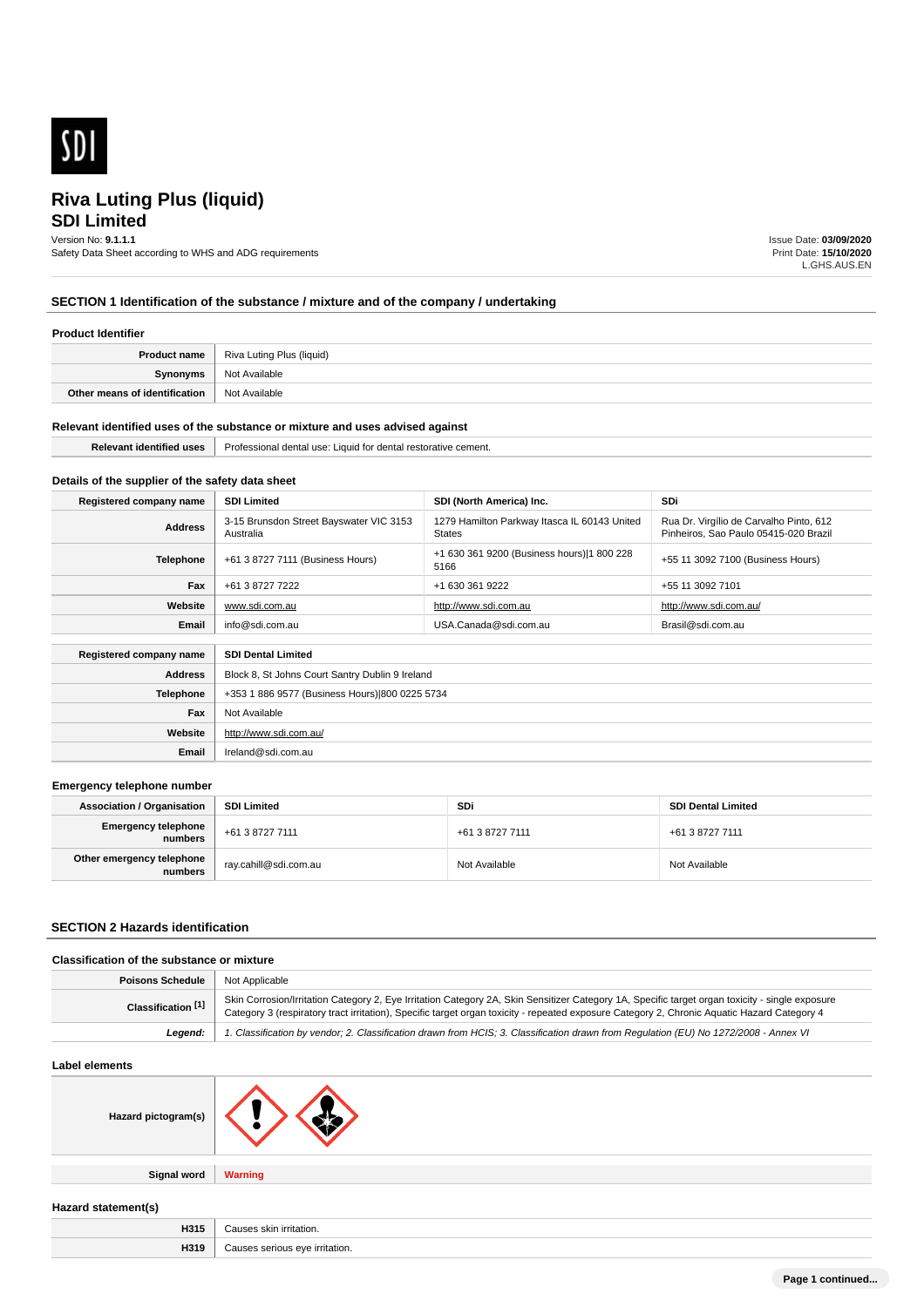

# **SDI Limited Riva Luting Plus (liquid)**

# Version No: **9.1.1.1**

Safety Data Sheet according to WHS and ADG requirements

Issue Date: **03/09/2020** Print Date: **15/10/2020** L.GHS.AUS.EN

# **SECTION 1 Identification of the substance / mixture and of the company / undertaking**

### **Product Identifier**

|                               | <b>Product name</b>   Riva Luting Plus (liquid) |
|-------------------------------|-------------------------------------------------|
| Synonyms                      | Not Available                                   |
| Other means of identification | Not Available                                   |

#### **Relevant identified uses of the substance or mixture and uses advised against**

| want<br>' Identified uses | Professiona<br>. USE<br>dental<br>cement.<br>∵ιαυια τοι<br>$\cdots$<br>' dental<br>∣ restor: |  |
|---------------------------|----------------------------------------------------------------------------------------------|--|
|                           |                                                                                              |  |

# **Details of the supplier of the safety data sheet**

**Website**

**Email** Ireland@sdi.com.au

http://www.sdi.com.au/

| Registered company name                              | <b>SDI Limited</b>                                   | SDI (North America) Inc.                                      | <b>SDi</b>                                                                       |
|------------------------------------------------------|------------------------------------------------------|---------------------------------------------------------------|----------------------------------------------------------------------------------|
| <b>Address</b>                                       | 3-15 Brunsdon Street Bayswater VIC 3153<br>Australia | 1279 Hamilton Parkway Itasca IL 60143 United<br><b>States</b> | Rua Dr. Virgílio de Carvalho Pinto, 612<br>Pinheiros, Sao Paulo 05415-020 Brazil |
| Telephone                                            | +61 3 8727 7111 (Business Hours)                     | +1 630 361 9200 (Business hours) 1 800 228<br>5166            | +55 11 3092 7100 (Business Hours)                                                |
| Fax                                                  | +61 3 8727 7222                                      | +1 630 361 9222                                               | +55 11 3092 7101                                                                 |
| Website                                              | www.sdi.com.au                                       | http://www.sdi.com.au                                         | http://www.sdi.com.au/                                                           |
| Email                                                | info@sdi.com.au                                      | USA.Canada@sdi.com.au                                         | Brasil@sdi.com.au                                                                |
| Registered company name<br><b>SDI Dental Limited</b> |                                                      |                                                               |                                                                                  |
|                                                      |                                                      |                                                               |                                                                                  |
| <b>Address</b>                                       | Block 8, St Johns Court Santry Dublin 9 Ireland      |                                                               |                                                                                  |
| <b>Telephone</b>                                     | +353 1 886 9577 (Business Hours) 800 0225 5734       |                                                               |                                                                                  |
| Fax                                                  | Not Available                                        |                                                               |                                                                                  |

#### **Emergency telephone number**

| <b>Association / Organisation</b>     | <b>SDI Limited</b>    | SDi             | <b>SDI Dental Limited</b> |
|---------------------------------------|-----------------------|-----------------|---------------------------|
| <b>Emergency telephone</b><br>numbers | +61 3 8727 7111       | +61 3 8727 7111 | +61 3 8727 7111           |
| Other emergency telephone<br>numbers  | ray.cahill@sdi.com.au | Not Available   | Not Available             |

### **SECTION 2 Hazards identification**

### **Classification of the substance or mixture**

| <b>Poisons Schedule</b> | Not Applicable                                                                                                                                                                                                                                                                                 |
|-------------------------|------------------------------------------------------------------------------------------------------------------------------------------------------------------------------------------------------------------------------------------------------------------------------------------------|
| Classification [1]      | Skin Corrosion/Irritation Category 2, Eye Irritation Category 2A, Skin Sensitizer Category 1A, Specific target organ toxicity - single exposure<br>Category 3 (respiratory tract irritation), Specific target organ toxicity - repeated exposure Category 2, Chronic Aquatic Hazard Category 4 |
| Leaend:                 | 1. Classification by vendor; 2. Classification drawn from HCIS; 3. Classification drawn from Requlation (EU) No 1272/2008 - Annex VI                                                                                                                                                           |

#### **Label elements**

**Signal word Warning**

**Hazard statement(s)**

| $ -$<br>,,,,  |  |
|---------------|--|
| $-1$<br>,,,,, |  |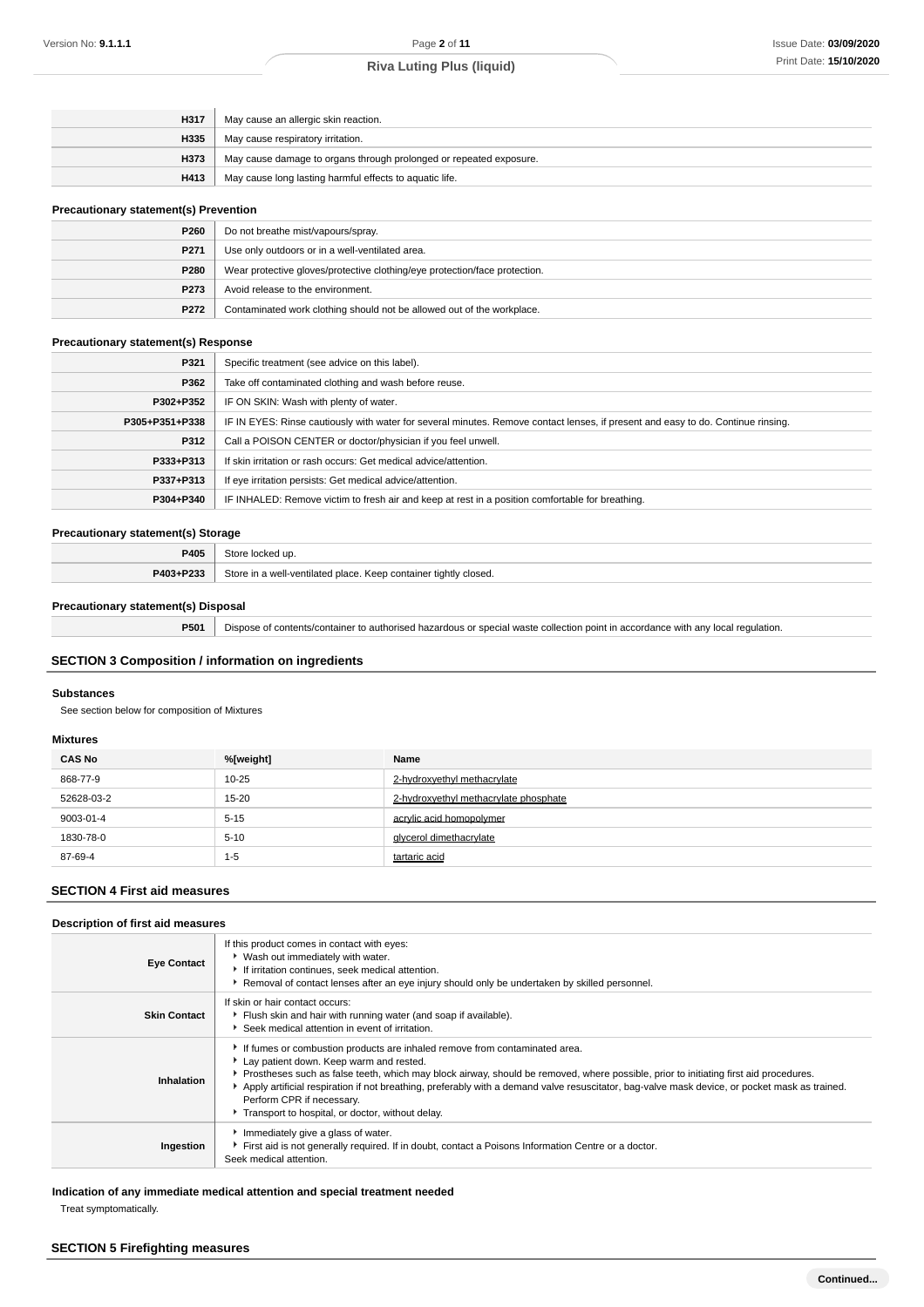| H317 | May cause an allergic skin reaction.                               |  |
|------|--------------------------------------------------------------------|--|
| H335 | May cause respiratory irritation.                                  |  |
| H373 | May cause damage to organs through prolonged or repeated exposure. |  |
| H413 | May cause long lasting harmful effects to aquatic life.            |  |

### **Precautionary statement(s) Prevention**

| P260             | Do not breathe mist/vapours/spray.                                         |
|------------------|----------------------------------------------------------------------------|
| P <sub>271</sub> | Use only outdoors or in a well-ventilated area.                            |
| P280             | Wear protective gloves/protective clothing/eye protection/face protection. |
| P273             | Avoid release to the environment.                                          |
| P272             | Contaminated work clothing should not be allowed out of the workplace.     |

### **Precautionary statement(s) Response**

| P321           | Specific treatment (see advice on this label).                                                                                   |
|----------------|----------------------------------------------------------------------------------------------------------------------------------|
| P362           | Take off contaminated clothing and wash before reuse.                                                                            |
| P302+P352      | IF ON SKIN: Wash with plenty of water.                                                                                           |
| P305+P351+P338 | IF IN EYES: Rinse cautiously with water for several minutes. Remove contact lenses, if present and easy to do. Continue rinsing. |
| P312           | Call a POISON CENTER or doctor/physician if you feel unwell.                                                                     |
| P333+P313      | If skin irritation or rash occurs: Get medical advice/attention.                                                                 |
| P337+P313      | If eye irritation persists: Get medical advice/attention.                                                                        |
| P304+P340      | IF INHALED: Remove victim to fresh air and keep at rest in a position comfortable for breathing.                                 |

### **Precautionary statement(s) Storage**

| _____                      |                                                                       |
|----------------------------|-----------------------------------------------------------------------|
| <b>P405</b>                |                                                                       |
| <b>DANS</b> . D222<br>7.5. | Sto<br>a well-ventilated place.<br>↑tightly closed.<br>Koon containor |

### **Precautionary statement(s) Disposal**

**P501** Dispose of contents/container to authorised hazardous or special waste collection point in accordance with any local regulation.

### **SECTION 3 Composition / information on ingredients**

### **Substances**

See section below for composition of Mixtures

### **Mixtures**

| <b>CAS No</b> | %[weight] | Name                                  |
|---------------|-----------|---------------------------------------|
| 868-77-9      | $10 - 25$ | 2-hydroxyethyl methacrylate           |
| 52628-03-2    | $15 - 20$ | 2-hydroxyethyl methacrylate phosphate |
| 9003-01-4     | $5 - 15$  | acrylic acid homopolymer              |
| 1830-78-0     | $5 - 10$  | givcerol dimethacrvlate               |
| 87-69-4       | $1 - 5$   | tartaric acid                         |

## **SECTION 4 First aid measures**

### **Description of first aid measures**

| <b>Eye Contact</b>  | If this product comes in contact with eyes:<br>▶ Wash out immediately with water.<br>If irritation continues, seek medical attention.<br>Removal of contact lenses after an eye injury should only be undertaken by skilled personnel.                                                                                                                                                                                                                                                            |
|---------------------|---------------------------------------------------------------------------------------------------------------------------------------------------------------------------------------------------------------------------------------------------------------------------------------------------------------------------------------------------------------------------------------------------------------------------------------------------------------------------------------------------|
| <b>Skin Contact</b> | If skin or hair contact occurs:<br>Flush skin and hair with running water (and soap if available).<br>Seek medical attention in event of irritation.                                                                                                                                                                                                                                                                                                                                              |
| Inhalation          | If fumes or combustion products are inhaled remove from contaminated area.<br>Lay patient down. Keep warm and rested.<br>▶ Prostheses such as false teeth, which may block airway, should be removed, where possible, prior to initiating first aid procedures.<br>Apply artificial respiration if not breathing, preferably with a demand valve resuscitator, bag-valve mask device, or pocket mask as trained.<br>Perform CPR if necessary.<br>Transport to hospital, or doctor, without delay. |
| Ingestion           | Immediately give a glass of water.<br>First aid is not generally required. If in doubt, contact a Poisons Information Centre or a doctor.<br>Seek medical attention.                                                                                                                                                                                                                                                                                                                              |

**Indication of any immediate medical attention and special treatment needed**

Treat symptomatically.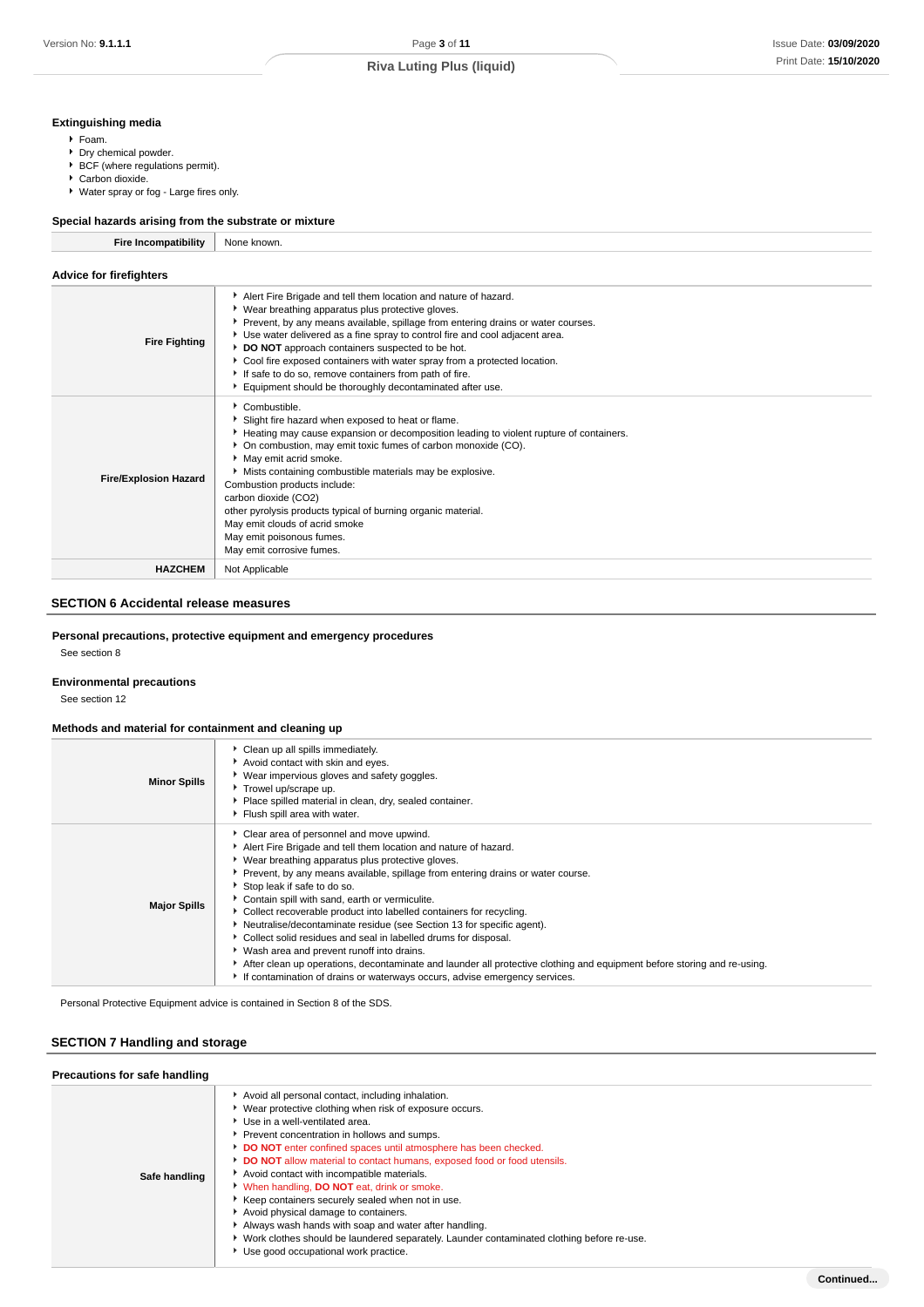### **Extinguishing media**

- Foam.
- Dry chemical powder.
- BCF (where regulations permit).
- ▶ Carbon dioxide.
- Water spray or fog Large fires only.

### **Special hazards arising from the substrate or mixture**

| <b>Fire Incompatibility</b> | None known. |
|-----------------------------|-------------|
|-----------------------------|-------------|

| <b>Advice for firefighters</b> |                                                                                                                                                                                                                                                                                                                                                                                                                                                                                                                                                 |
|--------------------------------|-------------------------------------------------------------------------------------------------------------------------------------------------------------------------------------------------------------------------------------------------------------------------------------------------------------------------------------------------------------------------------------------------------------------------------------------------------------------------------------------------------------------------------------------------|
| <b>Fire Fighting</b>           | Alert Fire Brigade and tell them location and nature of hazard.<br>• Wear breathing apparatus plus protective gloves.<br>▶ Prevent, by any means available, spillage from entering drains or water courses.<br>Use water delivered as a fine spray to control fire and cool adjacent area.<br>DO NOT approach containers suspected to be hot.<br>Cool fire exposed containers with water spray from a protected location.<br>If safe to do so, remove containers from path of fire.<br>Equipment should be thoroughly decontaminated after use. |
| <b>Fire/Explosion Hazard</b>   | Combustible.<br>Slight fire hazard when exposed to heat or flame.<br>Heating may cause expansion or decomposition leading to violent rupture of containers.<br>• On combustion, may emit toxic fumes of carbon monoxide (CO).<br>May emit acrid smoke.<br>Mists containing combustible materials may be explosive.<br>Combustion products include:<br>carbon dioxide (CO2)<br>other pyrolysis products typical of burning organic material.<br>May emit clouds of acrid smoke<br>May emit poisonous fumes.<br>May emit corrosive fumes.         |
| <b>HAZCHEM</b>                 | Not Applicable                                                                                                                                                                                                                                                                                                                                                                                                                                                                                                                                  |

# **SECTION 6 Accidental release measures**

### **Personal precautions, protective equipment and emergency procedures**

See section 8

### **Environmental precautions**

See section 12

### **Methods and material for containment and cleaning up**

| <b>Minor Spills</b> | Clean up all spills immediately.<br>Avoid contact with skin and eyes.<br>▶ Wear impervious gloves and safety goggles.<br>Trowel up/scrape up.<br>Place spilled material in clean, dry, sealed container.<br>Flush spill area with water.                                                                                                                                                                                                                                                                                                                                                                                                                                                                                                                                                                                 |
|---------------------|--------------------------------------------------------------------------------------------------------------------------------------------------------------------------------------------------------------------------------------------------------------------------------------------------------------------------------------------------------------------------------------------------------------------------------------------------------------------------------------------------------------------------------------------------------------------------------------------------------------------------------------------------------------------------------------------------------------------------------------------------------------------------------------------------------------------------|
| <b>Major Spills</b> | • Clear area of personnel and move upwind.<br>Alert Fire Brigade and tell them location and nature of hazard.<br>▶ Wear breathing apparatus plus protective gloves.<br>▶ Prevent, by any means available, spillage from entering drains or water course.<br>Stop leak if safe to do so.<br>Contain spill with sand, earth or vermiculite.<br>▶ Collect recoverable product into labelled containers for recycling.<br>Neutralise/decontaminate residue (see Section 13 for specific agent).<br>• Collect solid residues and seal in labelled drums for disposal.<br>• Wash area and prevent runoff into drains.<br>After clean up operations, decontaminate and launder all protective clothing and equipment before storing and re-using.<br>If contamination of drains or waterways occurs, advise emergency services. |

Personal Protective Equipment advice is contained in Section 8 of the SDS.

# **SECTION 7 Handling and storage**

| <b>FIGURIOUS TO SAIG HARRING</b> |                                                                                                                                                                                                                                                                                                                                                                                                                                                                                                                                                                                                                                                                                                                                                    |
|----------------------------------|----------------------------------------------------------------------------------------------------------------------------------------------------------------------------------------------------------------------------------------------------------------------------------------------------------------------------------------------------------------------------------------------------------------------------------------------------------------------------------------------------------------------------------------------------------------------------------------------------------------------------------------------------------------------------------------------------------------------------------------------------|
| Safe handling                    | Avoid all personal contact, including inhalation.<br>▶ Wear protective clothing when risk of exposure occurs.<br>Use in a well-ventilated area.<br>Prevent concentration in hollows and sumps.<br>DO NOT enter confined spaces until atmosphere has been checked.<br><b>DO NOT</b> allow material to contact humans, exposed food or food utensils.<br>Avoid contact with incompatible materials.<br>When handling, <b>DO NOT</b> eat, drink or smoke.<br>Keep containers securely sealed when not in use.<br>Avoid physical damage to containers.<br>Always wash hands with soap and water after handling.<br>▶ Work clothes should be laundered separately. Launder contaminated clothing before re-use.<br>Use good occupational work practice. |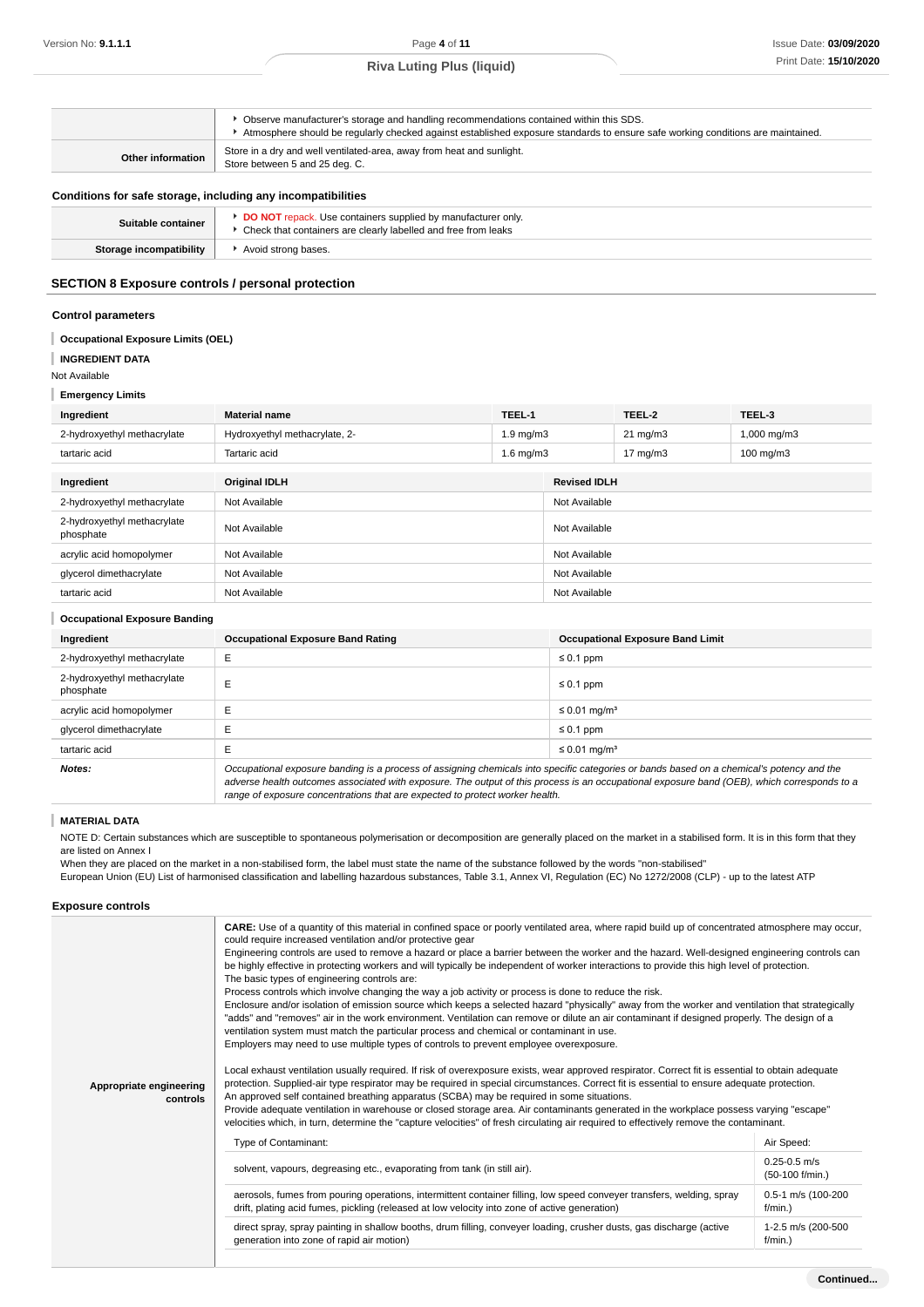|                          | Observe manufacturer's storage and handling recommendations contained within this SDS.<br>Atmosphere should be regularly checked against established exposure standards to ensure safe working conditions are maintained. |
|--------------------------|---------------------------------------------------------------------------------------------------------------------------------------------------------------------------------------------------------------------------|
| <b>Other information</b> | Store in a dry and well ventilated-area, away from heat and sunlight.<br>Store between 5 and 25 deg. C.                                                                                                                   |
|                          |                                                                                                                                                                                                                           |

### **Conditions for safe storage, including any incompatibilities**

| Suitable container      | <b>DO NOT</b> repack. Use containers supplied by manufacturer only<br>▶ Check that containers are clearly labelled and free from leaks |
|-------------------------|----------------------------------------------------------------------------------------------------------------------------------------|
| Storage incompatibility | Avoid strong bases.                                                                                                                    |
|                         |                                                                                                                                        |

### **SECTION 8 Exposure controls / personal protection**

#### **Control parameters**

#### ı **Occupational Exposure Limits (OEL)**

**INGREDIENT DATA**

#### Not Available

**Emergency Limits**

| Ingredient                  | <b>Material name</b>          | TEEL-1               |                     | TEEL-2            | TEEL-3               |
|-----------------------------|-------------------------------|----------------------|---------------------|-------------------|----------------------|
| 2-hydroxyethyl methacrylate | Hydroxyethyl methacrylate, 2- | $1.9 \text{ mg/m}$   |                     | $21 \text{ mg/m}$ | $1,000$ mg/m $3$     |
| tartaric acid               | Tartaric acid                 | $1.6 \text{ ma/m}$ 3 |                     | $17 \text{ mg/m}$ | $100 \text{ mg/m}$ 3 |
|                             |                               |                      |                     |                   |                      |
| Ingredient                  | <b>Original IDLH</b>          |                      | <b>Revised IDLH</b> |                   |                      |

| 2-hydroxyethyl methacrylate              | Not Available | Not Available |
|------------------------------------------|---------------|---------------|
| 2-hydroxyethyl methacrylate<br>phosphate | Not Available | Not Available |
| acrylic acid homopolymer                 | Not Available | Not Available |
| glycerol dimethacrylate                  | Not Available | Not Available |
| tartaric acid                            | Not Available | Not Available |

### **Occupational Exposure Banding**

| Ingredient                               | <b>Occupational Exposure Band Rating</b>                                                                                                  | <b>Occupational Exposure Band Limit</b> |
|------------------------------------------|-------------------------------------------------------------------------------------------------------------------------------------------|-----------------------------------------|
| 2-hydroxyethyl methacrylate              | E                                                                                                                                         | $\leq 0.1$ ppm                          |
| 2-hydroxyethyl methacrylate<br>phosphate |                                                                                                                                           | $\leq 0.1$ ppm                          |
| acrylic acid homopolymer                 |                                                                                                                                           | ≤ 0.01 mg/m <sup>3</sup>                |
| glycerol dimethacrylate                  |                                                                                                                                           | $\leq 0.1$ ppm                          |
| tartaric acid                            |                                                                                                                                           | ≤ 0.01 mg/m <sup>3</sup>                |
| Notes:                                   | Occupational exposure banding is a process of assigning chemicals into specific categories or bands based on a chemical's potency and the |                                         |

adverse health outcomes associated with exposure. The output of this process is an occupational exposure band (OEB), which corresponds to a range of exposure concentrations that are expected to protect worker health.

#### T **MATERIAL DATA**

NOTE D: Certain substances which are susceptible to spontaneous polymerisation or decomposition are generally placed on the market in a stabilised form. It is in this form that they are listed on Annex I

When they are placed on the market in a non-stabilised form, the label must state the name of the substance followed by the words "non-stabilised" European Union (EU) List of harmonised classification and labelling hazardous substances, Table 3.1, Annex VI, Regulation (EC) No 1272/2008 (CLP) - up to the latest ATP

### **Exposure controls**

|                                     | <b>CARE:</b> Use of a quantity of this material in confined space or poorly ventilated area, where rapid build up of concentrated atmosphere may occur,<br>could require increased ventilation and/or protective gear<br>Engineering controls are used to remove a hazard or place a barrier between the worker and the hazard. Well-designed engineering controls can<br>be highly effective in protecting workers and will typically be independent of worker interactions to provide this high level of protection.<br>The basic types of engineering controls are:<br>Process controls which involve changing the way a job activity or process is done to reduce the risk.<br>Enclosure and/or isolation of emission source which keeps a selected hazard "physically" away from the worker and ventilation that strategically<br>"adds" and "removes" air in the work environment. Ventilation can remove or dilute an air contaminant if designed properly. The design of a<br>ventilation system must match the particular process and chemical or contaminant in use.<br>Employers may need to use multiple types of controls to prevent employee overexposure. |                                     |
|-------------------------------------|--------------------------------------------------------------------------------------------------------------------------------------------------------------------------------------------------------------------------------------------------------------------------------------------------------------------------------------------------------------------------------------------------------------------------------------------------------------------------------------------------------------------------------------------------------------------------------------------------------------------------------------------------------------------------------------------------------------------------------------------------------------------------------------------------------------------------------------------------------------------------------------------------------------------------------------------------------------------------------------------------------------------------------------------------------------------------------------------------------------------------------------------------------------------------|-------------------------------------|
| Appropriate engineering<br>controls | Local exhaust ventilation usually required. If risk of overexposure exists, wear approved respirator. Correct fit is essential to obtain adequate<br>protection. Supplied-air type respirator may be required in special circumstances. Correct fit is essential to ensure adequate protection.<br>An approved self contained breathing apparatus (SCBA) may be required in some situations.<br>Provide adequate ventilation in warehouse or closed storage area. Air contaminants generated in the workplace possess varying "escape"<br>velocities which, in turn, determine the "capture velocities" of fresh circulating air required to effectively remove the contaminant.                                                                                                                                                                                                                                                                                                                                                                                                                                                                                         |                                     |
|                                     | Type of Contaminant:                                                                                                                                                                                                                                                                                                                                                                                                                                                                                                                                                                                                                                                                                                                                                                                                                                                                                                                                                                                                                                                                                                                                                     | Air Speed:                          |
|                                     | solvent, vapours, degreasing etc., evaporating from tank (in still air).                                                                                                                                                                                                                                                                                                                                                                                                                                                                                                                                                                                                                                                                                                                                                                                                                                                                                                                                                                                                                                                                                                 | $0.25 - 0.5$ m/s<br>(50-100 f/min.) |
|                                     | aerosols, fumes from pouring operations, intermittent container filling, low speed conveyer transfers, welding, spray<br>drift, plating acid fumes, pickling (released at low velocity into zone of active generation)                                                                                                                                                                                                                                                                                                                                                                                                                                                                                                                                                                                                                                                                                                                                                                                                                                                                                                                                                   | 0.5-1 m/s (100-200<br>f/min.)       |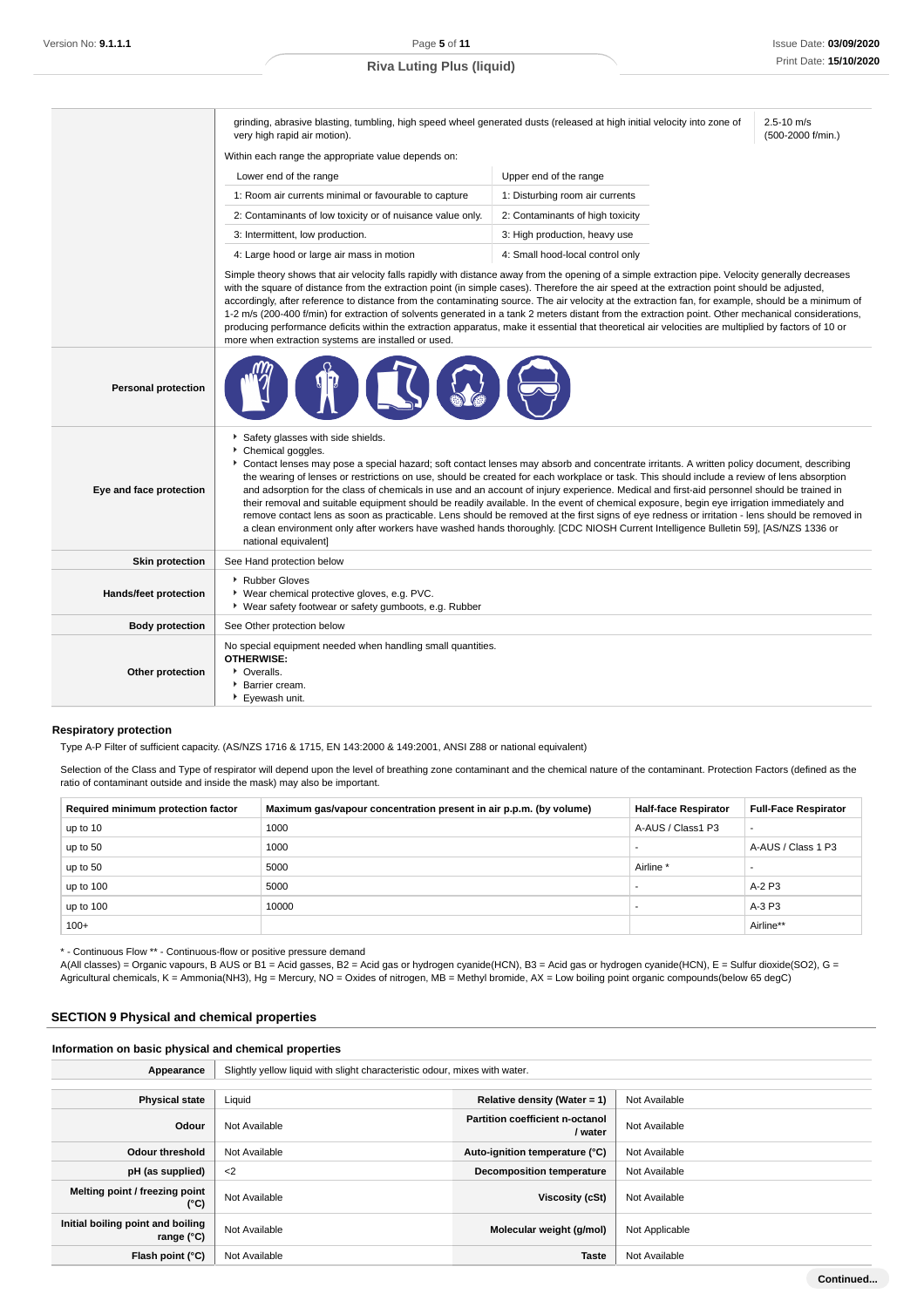2.5-10 m/s (500-2000 f/min.)

grinding, abrasive blasting, tumbling, high speed wheel generated dusts (released at high initial velocity into zone of

very high rapid air motion). Within each range the appropriate value depends on:

| Lower end of the range                                     | Upper end of the range           |
|------------------------------------------------------------|----------------------------------|
| 1: Room air currents minimal or favourable to capture      | 1: Disturbing room air currents  |
| 2: Contaminants of low toxicity or of nuisance value only. | 2: Contaminants of high toxicity |
| 3: Intermittent, low production.                           | 3: High production, heavy use    |
| 4: Large hood or large air mass in motion                  | 4: Small hood-local control only |

Simple theory shows that air velocity falls rapidly with distance away from the opening of a simple extraction pipe. Velocity generally decreases with the square of distance from the extraction point (in simple cases). Therefore the air speed at the extraction point should be adjusted, accordingly, after reference to distance from the contaminating source. The air velocity at the extraction fan, for example, should be a minimum of 1-2 m/s (200-400 f/min) for extraction of solvents generated in a tank 2 meters distant from the extraction point. Other mechanical considerations, producing performance deficits within the extraction apparatus, make it essential that theoretical air velocities are multiplied by factors of 10 or more when extraction systems are installed or used.

| <b>Personal protection</b> |                                                                                                                                                                                                                                                                                                                                                                                                                                                                                                                                                                                                                                                                                                                                                                                                                                                                                                                                                               |
|----------------------------|---------------------------------------------------------------------------------------------------------------------------------------------------------------------------------------------------------------------------------------------------------------------------------------------------------------------------------------------------------------------------------------------------------------------------------------------------------------------------------------------------------------------------------------------------------------------------------------------------------------------------------------------------------------------------------------------------------------------------------------------------------------------------------------------------------------------------------------------------------------------------------------------------------------------------------------------------------------|
| Eye and face protection    | Safety glasses with side shields.<br>Chemical goggles.<br>Contact lenses may pose a special hazard; soft contact lenses may absorb and concentrate irritants. A written policy document, describing<br>the wearing of lenses or restrictions on use, should be created for each workplace or task. This should include a review of lens absorption<br>and adsorption for the class of chemicals in use and an account of injury experience. Medical and first-aid personnel should be trained in<br>their removal and suitable equipment should be readily available. In the event of chemical exposure, begin eye irrigation immediately and<br>remove contact lens as soon as practicable. Lens should be removed at the first signs of eye redness or irritation - lens should be removed in<br>a clean environment only after workers have washed hands thoroughly. [CDC NIOSH Current Intelligence Bulletin 59], [AS/NZS 1336 or<br>national equivalent] |
| <b>Skin protection</b>     | See Hand protection below                                                                                                                                                                                                                                                                                                                                                                                                                                                                                                                                                                                                                                                                                                                                                                                                                                                                                                                                     |
| Hands/feet protection      | Rubber Gloves<br>▶ Wear chemical protective gloves, e.g. PVC.<br>▶ Wear safety footwear or safety gumboots, e.g. Rubber                                                                                                                                                                                                                                                                                                                                                                                                                                                                                                                                                                                                                                                                                                                                                                                                                                       |
| <b>Body protection</b>     | See Other protection below                                                                                                                                                                                                                                                                                                                                                                                                                                                                                                                                                                                                                                                                                                                                                                                                                                                                                                                                    |
| Other protection           | No special equipment needed when handling small quantities.<br><b>OTHERWISE:</b><br>• Overalls.<br><b>Barrier cream.</b><br>Evewash unit.                                                                                                                                                                                                                                                                                                                                                                                                                                                                                                                                                                                                                                                                                                                                                                                                                     |

#### **Respiratory protection**

Type A-P Filter of sufficient capacity. (AS/NZS 1716 & 1715, EN 143:2000 & 149:2001, ANSI Z88 or national equivalent)

Selection of the Class and Type of respirator will depend upon the level of breathing zone contaminant and the chemical nature of the contaminant. Protection Factors (defined as the ratio of contaminant outside and inside the mask) may also be important.

| Required minimum protection factor | Maximum gas/vapour concentration present in air p.p.m. (by volume) | <b>Half-face Respirator</b> | <b>Full-Face Respirator</b> |
|------------------------------------|--------------------------------------------------------------------|-----------------------------|-----------------------------|
| up to 10                           | 1000                                                               | A-AUS / Class1 P3           |                             |
| up to 50                           | 1000                                                               |                             | A-AUS / Class 1 P3          |
| up to 50                           | 5000                                                               | Airline <sup>*</sup>        |                             |
| up to 100                          | 5000                                                               |                             | A-2 P3                      |
| up to 100                          | 10000                                                              |                             | A-3 P3                      |
| $100+$                             |                                                                    |                             | Airline**                   |

\* - Continuous Flow \*\* - Continuous-flow or positive pressure demand

A(All classes) = Organic vapours, B AUS or B1 = Acid gasses, B2 = Acid gas or hydrogen cyanide(HCN), B3 = Acid gas or hydrogen cyanide(HCN), E = Sulfur dioxide(SO2), G = Agricultural chemicals, K = Ammonia(NH3), Hg = Mercury, NO = Oxides of nitrogen, MB = Methyl bromide, AX = Low boiling point organic compounds(below 65 degC)

### **SECTION 9 Physical and chemical properties**

**Information on basic physical and chemical properties**

| Slightly yellow liquid with slight characteristic odour, mixes with water.<br>Appearance |               |                                                  |                |  |  |
|------------------------------------------------------------------------------------------|---------------|--------------------------------------------------|----------------|--|--|
|                                                                                          |               |                                                  |                |  |  |
| <b>Physical state</b>                                                                    | Liquid        | Relative density (Water = $1$ )<br>Not Available |                |  |  |
| Odour                                                                                    | Not Available | Partition coefficient n-octanol<br>/ water       | Not Available  |  |  |
| <b>Odour threshold</b>                                                                   | Not Available | Auto-ignition temperature (°C)                   | Not Available  |  |  |
| pH (as supplied)                                                                         | $<$ 2         | <b>Decomposition temperature</b>                 | Not Available  |  |  |
| Melting point / freezing point<br>$(^{\circ}C)$                                          | Not Available | Viscosity (cSt)                                  | Not Available  |  |  |
| Initial boiling point and boiling<br>range $(°C)$                                        | Not Available | Molecular weight (g/mol)                         | Not Applicable |  |  |
| Flash point (°C)                                                                         | Not Available | <b>Taste</b>                                     | Not Available  |  |  |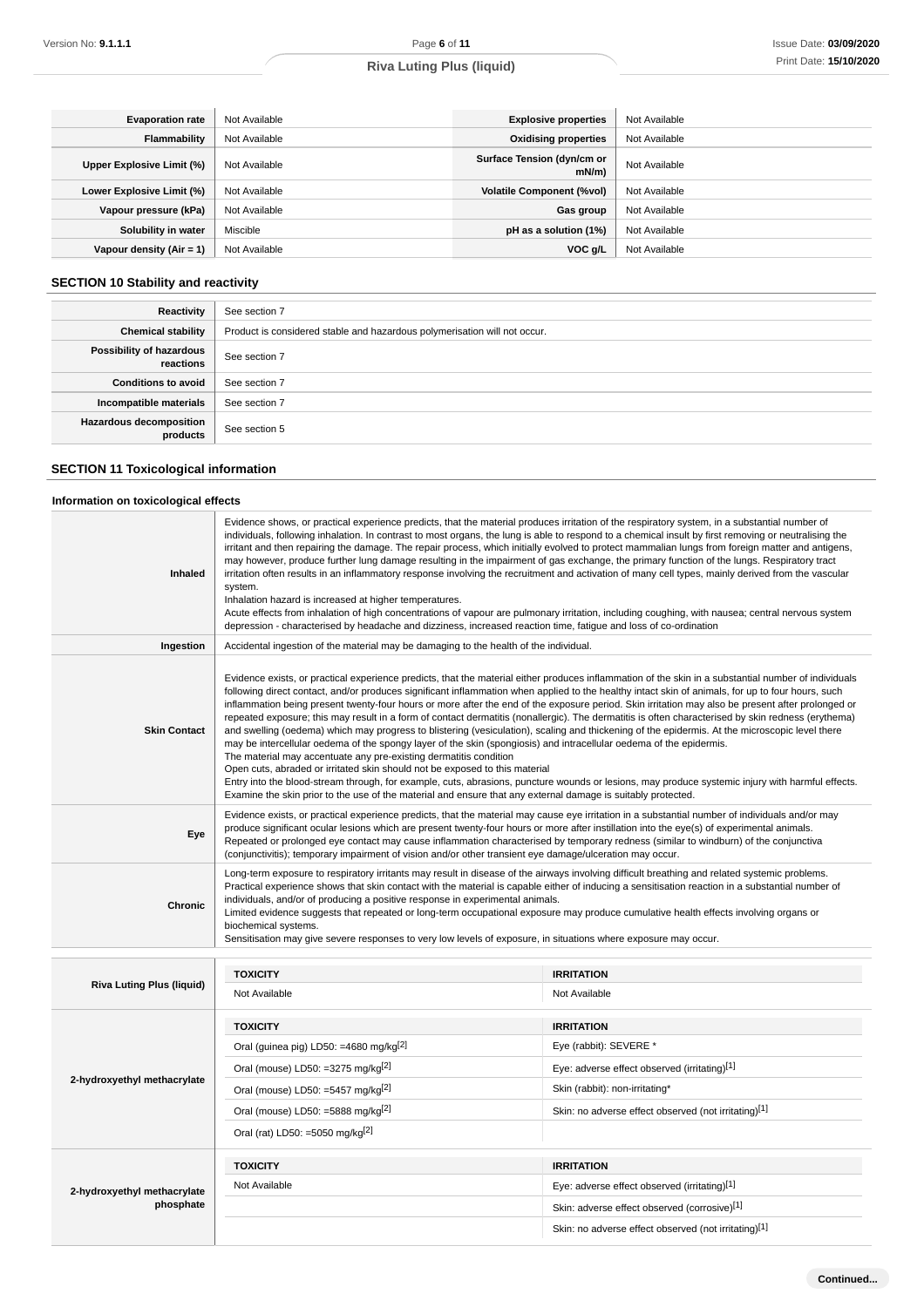| <b>Evaporation rate</b>    | Not Available | <b>Explosive properties</b>            | Not Available |
|----------------------------|---------------|----------------------------------------|---------------|
| Flammability               | Not Available | <b>Oxidising properties</b>            | Not Available |
| Upper Explosive Limit (%)  | Not Available | Surface Tension (dyn/cm or<br>$mN/m$ ) | Not Available |
| Lower Explosive Limit (%)  | Not Available | <b>Volatile Component (%vol)</b>       | Not Available |
| Vapour pressure (kPa)      | Not Available | Gas group                              | Not Available |
| Solubility in water        | Miscible      | pH as a solution (1%)                  | Not Available |
| Vapour density $(Air = 1)$ | Not Available | VOC g/L                                | Not Available |

# **SECTION 10 Stability and reactivity**

| Reactivity                                 | See section 7                                                             |
|--------------------------------------------|---------------------------------------------------------------------------|
| <b>Chemical stability</b>                  | Product is considered stable and hazardous polymerisation will not occur. |
| Possibility of hazardous<br>reactions      | See section 7                                                             |
| <b>Conditions to avoid</b>                 | See section 7                                                             |
| Incompatible materials                     | See section 7                                                             |
| <b>Hazardous decomposition</b><br>products | See section 5                                                             |

# **SECTION 11 Toxicological information**

### **Information on toxicological effects**

| Inhaled                          | Evidence shows, or practical experience predicts, that the material produces irritation of the respiratory system, in a substantial number of<br>individuals, following inhalation. In contrast to most organs, the lung is able to respond to a chemical insult by first removing or neutralising the<br>irritant and then repairing the damage. The repair process, which initially evolved to protect mammalian lungs from foreign matter and antigens,<br>may however, produce further lung damage resulting in the impairment of gas exchange, the primary function of the lungs. Respiratory tract<br>irritation often results in an inflammatory response involving the recruitment and activation of many cell types, mainly derived from the vascular<br>system.<br>Inhalation hazard is increased at higher temperatures.<br>Acute effects from inhalation of high concentrations of vapour are pulmonary irritation, including coughing, with nausea; central nervous system<br>depression - characterised by headache and dizziness, increased reaction time, fatigue and loss of co-ordination                                                                                           |                                                      |  |  |
|----------------------------------|-------------------------------------------------------------------------------------------------------------------------------------------------------------------------------------------------------------------------------------------------------------------------------------------------------------------------------------------------------------------------------------------------------------------------------------------------------------------------------------------------------------------------------------------------------------------------------------------------------------------------------------------------------------------------------------------------------------------------------------------------------------------------------------------------------------------------------------------------------------------------------------------------------------------------------------------------------------------------------------------------------------------------------------------------------------------------------------------------------------------------------------------------------------------------------------------------------|------------------------------------------------------|--|--|
| Ingestion                        | Accidental ingestion of the material may be damaging to the health of the individual.                                                                                                                                                                                                                                                                                                                                                                                                                                                                                                                                                                                                                                                                                                                                                                                                                                                                                                                                                                                                                                                                                                                 |                                                      |  |  |
| <b>Skin Contact</b>              | Evidence exists, or practical experience predicts, that the material either produces inflammation of the skin in a substantial number of individuals<br>following direct contact, and/or produces significant inflammation when applied to the healthy intact skin of animals, for up to four hours, such<br>inflammation being present twenty-four hours or more after the end of the exposure period. Skin irritation may also be present after prolonged or<br>repeated exposure; this may result in a form of contact dermatitis (nonallergic). The dermatitis is often characterised by skin redness (erythema)<br>and swelling (oedema) which may progress to blistering (vesiculation), scaling and thickening of the epidermis. At the microscopic level there<br>may be intercellular oedema of the spongy layer of the skin (spongiosis) and intracellular oedema of the epidermis.<br>The material may accentuate any pre-existing dermatitis condition<br>Open cuts, abraded or irritated skin should not be exposed to this material<br>Entry into the blood-stream through, for example, cuts, abrasions, puncture wounds or lesions, may produce systemic injury with harmful effects. |                                                      |  |  |
| Eye                              | Examine the skin prior to the use of the material and ensure that any external damage is suitably protected.<br>Evidence exists, or practical experience predicts, that the material may cause eye irritation in a substantial number of individuals and/or may<br>produce significant ocular lesions which are present twenty-four hours or more after instillation into the eye(s) of experimental animals.<br>Repeated or prolonged eye contact may cause inflammation characterised by temporary redness (similar to windburn) of the conjunctiva<br>(conjunctivitis); temporary impairment of vision and/or other transient eye damage/ulceration may occur.                                                                                                                                                                                                                                                                                                                                                                                                                                                                                                                                     |                                                      |  |  |
| <b>Chronic</b>                   | Long-term exposure to respiratory irritants may result in disease of the airways involving difficult breathing and related systemic problems.<br>Practical experience shows that skin contact with the material is capable either of inducing a sensitisation reaction in a substantial number of<br>individuals, and/or of producing a positive response in experimental animals.<br>Limited evidence suggests that repeated or long-term occupational exposure may produce cumulative health effects involving organs or<br>biochemical systems.<br>Sensitisation may give severe responses to very low levels of exposure, in situations where exposure may occur.                                                                                                                                                                                                                                                                                                                                                                                                                                                                                                                                 |                                                      |  |  |
|                                  | <b>TOXICITY</b>                                                                                                                                                                                                                                                                                                                                                                                                                                                                                                                                                                                                                                                                                                                                                                                                                                                                                                                                                                                                                                                                                                                                                                                       | <b>IRRITATION</b>                                    |  |  |
| <b>Riva Luting Plus (liquid)</b> | Not Available                                                                                                                                                                                                                                                                                                                                                                                                                                                                                                                                                                                                                                                                                                                                                                                                                                                                                                                                                                                                                                                                                                                                                                                         | Not Available                                        |  |  |
|                                  | <b>TOXICITY</b>                                                                                                                                                                                                                                                                                                                                                                                                                                                                                                                                                                                                                                                                                                                                                                                                                                                                                                                                                                                                                                                                                                                                                                                       | <b>IRRITATION</b>                                    |  |  |
|                                  | Oral (guinea pig) LD50: =4680 mg/kg <sup>[2]</sup>                                                                                                                                                                                                                                                                                                                                                                                                                                                                                                                                                                                                                                                                                                                                                                                                                                                                                                                                                                                                                                                                                                                                                    | Eye (rabbit): SEVERE *                               |  |  |
|                                  | Oral (mouse) LD50: =3275 mg/kg <sup>[2]</sup>                                                                                                                                                                                                                                                                                                                                                                                                                                                                                                                                                                                                                                                                                                                                                                                                                                                                                                                                                                                                                                                                                                                                                         | Eye: adverse effect observed (irritating)[1]         |  |  |
| 2-hydroxyethyl methacrylate      | Oral (mouse) LD50: =5457 mg/kg <sup>[2]</sup>                                                                                                                                                                                                                                                                                                                                                                                                                                                                                                                                                                                                                                                                                                                                                                                                                                                                                                                                                                                                                                                                                                                                                         | Skin (rabbit): non-irritating*                       |  |  |
|                                  | Oral (mouse) LD50: =5888 mg/kg $^{[2]}$                                                                                                                                                                                                                                                                                                                                                                                                                                                                                                                                                                                                                                                                                                                                                                                                                                                                                                                                                                                                                                                                                                                                                               | Skin: no adverse effect observed (not irritating)[1] |  |  |
|                                  | Oral (rat) LD50: =5050 mg/kg <sup>[2]</sup>                                                                                                                                                                                                                                                                                                                                                                                                                                                                                                                                                                                                                                                                                                                                                                                                                                                                                                                                                                                                                                                                                                                                                           |                                                      |  |  |
|                                  | <b>TOXICITY</b>                                                                                                                                                                                                                                                                                                                                                                                                                                                                                                                                                                                                                                                                                                                                                                                                                                                                                                                                                                                                                                                                                                                                                                                       | <b>IRRITATION</b>                                    |  |  |
| 2-hydroxyethyl methacrylate      | Not Available                                                                                                                                                                                                                                                                                                                                                                                                                                                                                                                                                                                                                                                                                                                                                                                                                                                                                                                                                                                                                                                                                                                                                                                         | Eye: adverse effect observed (irritating)[1]         |  |  |
| phosphate                        |                                                                                                                                                                                                                                                                                                                                                                                                                                                                                                                                                                                                                                                                                                                                                                                                                                                                                                                                                                                                                                                                                                                                                                                                       | Skin: adverse effect observed (corrosive)[1]         |  |  |
|                                  |                                                                                                                                                                                                                                                                                                                                                                                                                                                                                                                                                                                                                                                                                                                                                                                                                                                                                                                                                                                                                                                                                                                                                                                                       | Skin: no adverse effect observed (not irritating)[1] |  |  |

**Continued...**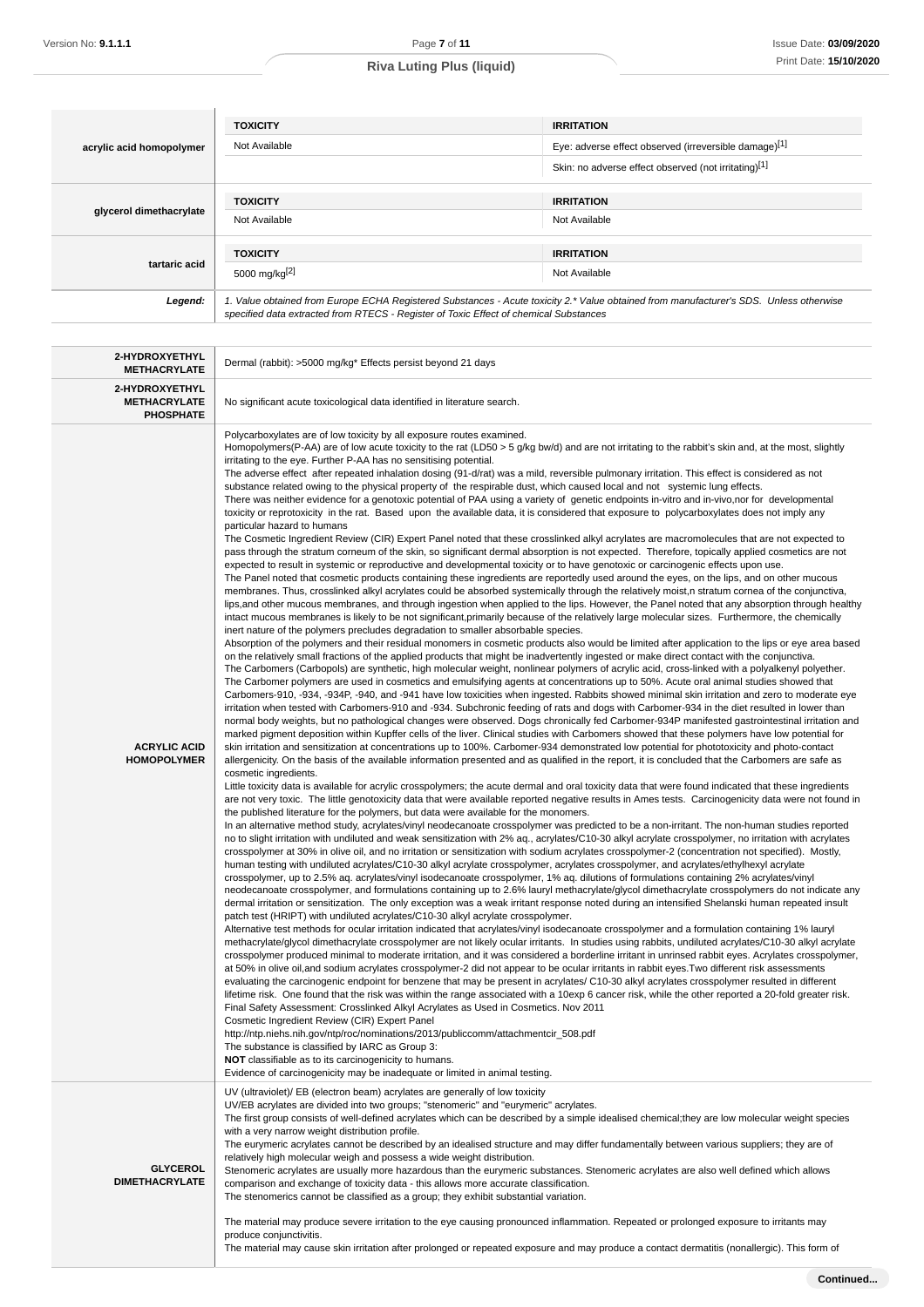|                          | <b>TOXICITY</b>                                                                       | <b>IRRITATION</b>                                                                                                                      |
|--------------------------|---------------------------------------------------------------------------------------|----------------------------------------------------------------------------------------------------------------------------------------|
| acrylic acid homopolymer | Not Available                                                                         | Eye: adverse effect observed (irreversible damage)[1]                                                                                  |
|                          |                                                                                       | Skin: no adverse effect observed (not irritating)[1]                                                                                   |
|                          | <b>TOXICITY</b>                                                                       | <b>IRRITATION</b>                                                                                                                      |
| glycerol dimethacrylate  | Not Available                                                                         | Not Available                                                                                                                          |
|                          | <b>TOXICITY</b>                                                                       | <b>IRRITATION</b>                                                                                                                      |
| tartaric acid            | 5000 mg/kg <sup>[2]</sup>                                                             | Not Available                                                                                                                          |
| Legend:                  | specified data extracted from RTECS - Register of Toxic Effect of chemical Substances | 1. Value obtained from Europe ECHA Registered Substances - Acute toxicity 2.* Value obtained from manufacturer's SDS. Unless otherwise |

| 2-HYDROXYETHYL<br><b>METHACRYLATE</b>                     | Dermal (rabbit): >5000 mg/kg* Effects persist beyond 21 days                                                                                                                                                                                                                                                                                                                                                                                                                                                                                                                                                                                                                                                                                                                                                                                                                                                                                                                                                                                                                                                                                                                                                                                                                                                                                                                                                                                                                                                                                                                                                                                                                                                                                                                                                                                                                                                                                                                                                                                                                                                                                                                                                                                                                                                                                                                                                                                                                                                                                                                                                                                                                                                                                                                                                                                                                                                                                                                                                                                                                                                                                                                                                                                                                                                                                                                                                                                                                                                                                                                                                                                                                                                                                                                                                                                                                                                                                                                                                                                                                                                                                                                                                                                                                                                                                                                                                                                                                                                                                                                                                                                                                                                                                                                                                                                                                                                                                                                                                                                                                                                                                                                                                                                                                                                                                                                                                                                                                                                                                                                                                                                                                                                                                                                                                                                                                                                                                                                                                                                                                                                                                                                                                                                                                                                                                                                                                                                                                     |  |  |
|-----------------------------------------------------------|----------------------------------------------------------------------------------------------------------------------------------------------------------------------------------------------------------------------------------------------------------------------------------------------------------------------------------------------------------------------------------------------------------------------------------------------------------------------------------------------------------------------------------------------------------------------------------------------------------------------------------------------------------------------------------------------------------------------------------------------------------------------------------------------------------------------------------------------------------------------------------------------------------------------------------------------------------------------------------------------------------------------------------------------------------------------------------------------------------------------------------------------------------------------------------------------------------------------------------------------------------------------------------------------------------------------------------------------------------------------------------------------------------------------------------------------------------------------------------------------------------------------------------------------------------------------------------------------------------------------------------------------------------------------------------------------------------------------------------------------------------------------------------------------------------------------------------------------------------------------------------------------------------------------------------------------------------------------------------------------------------------------------------------------------------------------------------------------------------------------------------------------------------------------------------------------------------------------------------------------------------------------------------------------------------------------------------------------------------------------------------------------------------------------------------------------------------------------------------------------------------------------------------------------------------------------------------------------------------------------------------------------------------------------------------------------------------------------------------------------------------------------------------------------------------------------------------------------------------------------------------------------------------------------------------------------------------------------------------------------------------------------------------------------------------------------------------------------------------------------------------------------------------------------------------------------------------------------------------------------------------------------------------------------------------------------------------------------------------------------------------------------------------------------------------------------------------------------------------------------------------------------------------------------------------------------------------------------------------------------------------------------------------------------------------------------------------------------------------------------------------------------------------------------------------------------------------------------------------------------------------------------------------------------------------------------------------------------------------------------------------------------------------------------------------------------------------------------------------------------------------------------------------------------------------------------------------------------------------------------------------------------------------------------------------------------------------------------------------------------------------------------------------------------------------------------------------------------------------------------------------------------------------------------------------------------------------------------------------------------------------------------------------------------------------------------------------------------------------------------------------------------------------------------------------------------------------------------------------------------------------------------------------------------------------------------------------------------------------------------------------------------------------------------------------------------------------------------------------------------------------------------------------------------------------------------------------------------------------------------------------------------------------------------------------------------------------------------------------------------------------------------------------------------------------------------------------------------------------------------------------------------------------------------------------------------------------------------------------------------------------------------------------------------------------------------------------------------------------------------------------------------------------------------------------------------------------------------------------------------------------------------------------------------------------------------------------------------------------------------------------------------------------------------------------------------------------------------------------------------------------------------------------------------------------------------------------------------------------------------------------------------------------------------------------------------------------------------------------------------------------------------------------------------------------------------------------------------------------|--|--|
| 2-HYDROXYETHYL<br><b>METHACRYLATE</b><br><b>PHOSPHATE</b> | No significant acute toxicological data identified in literature search.                                                                                                                                                                                                                                                                                                                                                                                                                                                                                                                                                                                                                                                                                                                                                                                                                                                                                                                                                                                                                                                                                                                                                                                                                                                                                                                                                                                                                                                                                                                                                                                                                                                                                                                                                                                                                                                                                                                                                                                                                                                                                                                                                                                                                                                                                                                                                                                                                                                                                                                                                                                                                                                                                                                                                                                                                                                                                                                                                                                                                                                                                                                                                                                                                                                                                                                                                                                                                                                                                                                                                                                                                                                                                                                                                                                                                                                                                                                                                                                                                                                                                                                                                                                                                                                                                                                                                                                                                                                                                                                                                                                                                                                                                                                                                                                                                                                                                                                                                                                                                                                                                                                                                                                                                                                                                                                                                                                                                                                                                                                                                                                                                                                                                                                                                                                                                                                                                                                                                                                                                                                                                                                                                                                                                                                                                                                                                                                                         |  |  |
| <b>ACRYLIC ACID</b><br><b>HOMOPOLYMER</b>                 | Polycarboxylates are of low toxicity by all exposure routes examined.<br>Homopolymers(P-AA) are of low acute toxicity to the rat (LD50 > 5 g/kg bw/d) and are not irritating to the rabbit's skin and, at the most, slightly<br>irritating to the eye. Further P-AA has no sensitising potential.<br>The adverse effect after repeated inhalation dosing (91-d/rat) was a mild, reversible pulmonary irritation. This effect is considered as not<br>substance related owing to the physical property of the respirable dust, which caused local and not systemic lung effects.<br>There was neither evidence for a genotoxic potential of PAA using a variety of genetic endpoints in-vitro and in-vivo, nor for developmental<br>toxicity or reprotoxicity in the rat. Based upon the available data, it is considered that exposure to polycarboxylates does not imply any<br>particular hazard to humans<br>The Cosmetic Ingredient Review (CIR) Expert Panel noted that these crosslinked alkyl acrylates are macromolecules that are not expected to<br>pass through the stratum corneum of the skin, so significant dermal absorption is not expected. Therefore, topically applied cosmetics are not<br>expected to result in systemic or reproductive and developmental toxicity or to have genotoxic or carcinogenic effects upon use.<br>The Panel noted that cosmetic products containing these ingredients are reportedly used around the eyes, on the lips, and on other mucous<br>membranes. Thus, crosslinked alkyl acrylates could be absorbed systemically through the relatively moist, n stratum cornea of the conjunctiva,<br>lips, and other mucous membranes, and through ingestion when applied to the lips. However, the Panel noted that any absorption through healthy<br>intact mucous membranes is likely to be not significant, primarily because of the relatively large molecular sizes. Furthermore, the chemically<br>inert nature of the polymers precludes degradation to smaller absorbable species.<br>Absorption of the polymers and their residual monomers in cosmetic products also would be limited after application to the lips or eye area based<br>on the relatively small fractions of the applied products that might be inadvertently ingested or make direct contact with the conjunctiva.<br>The Carbomers (Carbopols) are synthetic, high molecular weight, nonlinear polymers of acrylic acid, cross-linked with a polyalkenyl polyether.<br>The Carbomer polymers are used in cosmetics and emulsifying agents at concentrations up to 50%. Acute oral animal studies showed that<br>Carbomers-910, -934, -934P, -940, and -941 have low toxicities when ingested. Rabbits showed minimal skin irritation and zero to moderate eye<br>irritation when tested with Carbomers-910 and -934. Subchronic feeding of rats and dogs with Carbomer-934 in the diet resulted in lower than<br>normal body weights, but no pathological changes were observed. Dogs chronically fed Carbomer-934P manifested gastrointestinal irritation and<br>marked pigment deposition within Kupffer cells of the liver. Clinical studies with Carbomers showed that these polymers have low potential for<br>skin irritation and sensitization at concentrations up to 100%. Carbomer-934 demonstrated low potential for phototoxicity and photo-contact<br>allergenicity. On the basis of the available information presented and as qualified in the report, it is concluded that the Carbomers are safe as<br>cosmetic ingredients.<br>Little toxicity data is available for acrylic crosspolymers; the acute dermal and oral toxicity data that were found indicated that these ingredients<br>are not very toxic. The little genotoxicity data that were available reported negative results in Ames tests. Carcinogenicity data were not found in<br>the published literature for the polymers, but data were available for the monomers.<br>In an alternative method study, acrylates/vinyl neodecanoate crosspolymer was predicted to be a non-irritant. The non-human studies reported<br>no to slight irritation with undiluted and weak sensitization with 2% aq., acrylates/C10-30 alkyl acrylate crosspolymer, no irritation with acrylates<br>crosspolymer at 30% in olive oil, and no irritation or sensitization with sodium acrylates crosspolymer-2 (concentration not specified). Mostly,<br>human testing with undiluted acrylates/C10-30 alkyl acrylate crosspolymer, acrylates crosspolymer, and acrylates/ethylhexyl acrylate<br>crosspolymer, up to 2.5% aq. acrylates/vinyl isodecanoate crosspolymer, 1% aq. dilutions of formulations containing 2% acrylates/vinyl<br>neodecanoate crosspolymer, and formulations containing up to 2.6% lauryl methacrylate/glycol dimethacrylate crosspolymers do not indicate any<br>dermal irritation or sensitization. The only exception was a weak irritant response noted during an intensified Shelanski human repeated insult<br>patch test (HRIPT) with undiluted acrylates/C10-30 alkyl acrylate crosspolymer.<br>Alternative test methods for ocular irritation indicated that acrylates/vinyl isodecanoate crosspolymer and a formulation containing 1% lauryl<br>methacrylate/glycol dimethacrylate crosspolymer are not likely ocular irritants. In studies using rabbits, undiluted acrylates/C10-30 alkyl acrylate<br>crosspolymer produced minimal to moderate irritation, and it was considered a borderline irritant in unrinsed rabbit eyes. Acrylates crosspolymer,<br>at 50% in olive oil, and sodium acrylates crosspolymer-2 did not appear to be ocular irritants in rabbit eyes. Two different risk assessments<br>evaluating the carcinogenic endpoint for benzene that may be present in acrylates/ C10-30 alkyl acrylates crosspolymer resulted in different<br>lifetime risk. One found that the risk was within the range associated with a 10exp 6 cancer risk, while the other reported a 20-fold greater risk.<br>Final Safety Assessment: Crosslinked Alkyl Acrylates as Used in Cosmetics. Nov 2011<br>Cosmetic Ingredient Review (CIR) Expert Panel<br>http://ntp.niehs.nih.gov/ntp/roc/nominations/2013/publiccomm/attachmentcir_508.pdf<br>The substance is classified by IARC as Group 3:<br><b>NOT</b> classifiable as to its carcinogenicity to humans.<br>Evidence of carcinogenicity may be inadequate or limited in animal testing. |  |  |
| <b>GLYCEROL</b><br><b>DIMETHACRYLATE</b>                  | UV (ultraviolet)/ EB (electron beam) acrylates are generally of low toxicity<br>UV/EB acrylates are divided into two groups; "stenomeric" and "eurymeric" acrylates.<br>The first group consists of well-defined acrylates which can be described by a simple idealised chemical; they are low molecular weight species<br>with a very narrow weight distribution profile.<br>The eurymeric acrylates cannot be described by an idealised structure and may differ fundamentally between various suppliers; they are of<br>relatively high molecular weigh and possess a wide weight distribution.<br>Stenomeric acrylates are usually more hazardous than the eurymeric substances. Stenomeric acrylates are also well defined which allows<br>comparison and exchange of toxicity data - this allows more accurate classification.<br>The stenomerics cannot be classified as a group; they exhibit substantial variation.<br>The material may produce severe irritation to the eye causing pronounced inflammation. Repeated or prolonged exposure to irritants may<br>produce conjunctivitis.                                                                                                                                                                                                                                                                                                                                                                                                                                                                                                                                                                                                                                                                                                                                                                                                                                                                                                                                                                                                                                                                                                                                                                                                                                                                                                                                                                                                                                                                                                                                                                                                                                                                                                                                                                                                                                                                                                                                                                                                                                                                                                                                                                                                                                                                                                                                                                                                                                                                                                                                                                                                                                                                                                                                                                                                                                                                                                                                                                                                                                                                                                                                                                                                                                                                                                                                                                                                                                                                                                                                                                                                                                                                                                                                                                                                                                                                                                                                                                                                                                                                                                                                                                                                                                                                                                                                                                                                                                                                                                                                                                                                                                                                                                                                                                                                                                                                                                                                                                                                                                                                                                                                                                                                                                                                                                                                                                                |  |  |
|                                                           | The material may cause skin irritation after prolonged or repeated exposure and may produce a contact dermatitis (nonallergic). This form of                                                                                                                                                                                                                                                                                                                                                                                                                                                                                                                                                                                                                                                                                                                                                                                                                                                                                                                                                                                                                                                                                                                                                                                                                                                                                                                                                                                                                                                                                                                                                                                                                                                                                                                                                                                                                                                                                                                                                                                                                                                                                                                                                                                                                                                                                                                                                                                                                                                                                                                                                                                                                                                                                                                                                                                                                                                                                                                                                                                                                                                                                                                                                                                                                                                                                                                                                                                                                                                                                                                                                                                                                                                                                                                                                                                                                                                                                                                                                                                                                                                                                                                                                                                                                                                                                                                                                                                                                                                                                                                                                                                                                                                                                                                                                                                                                                                                                                                                                                                                                                                                                                                                                                                                                                                                                                                                                                                                                                                                                                                                                                                                                                                                                                                                                                                                                                                                                                                                                                                                                                                                                                                                                                                                                                                                                                                                     |  |  |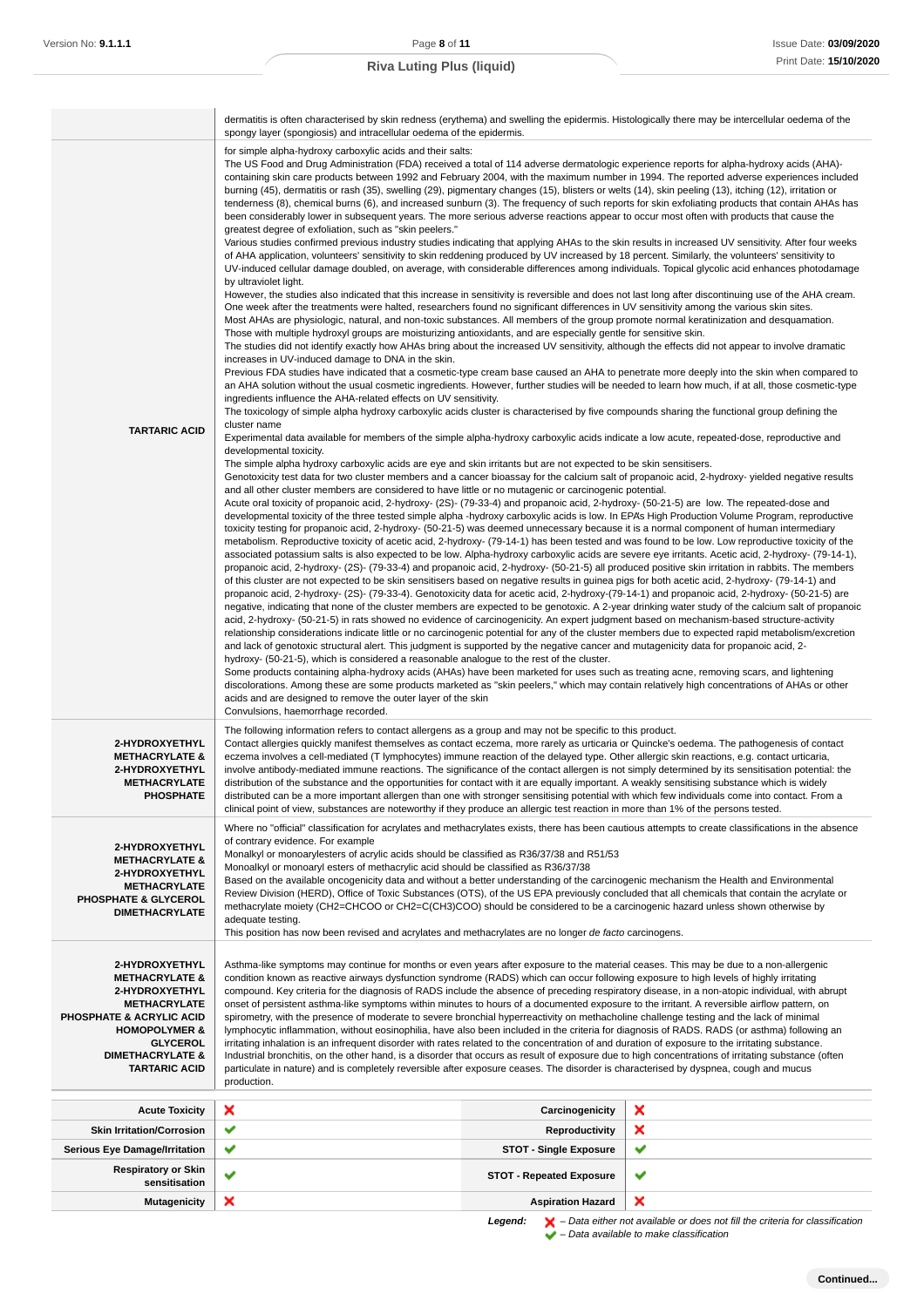| Version No: <b>9.1.1.1</b>                                                                                                                                                                                             | Page 8 of 11                                                                                                                                                                                                                                                                                                                                                                                                                                                                                                                                                                                                                                                                                                                                                                                                                                                                                                                                                                                                                                                                                                                                                                                                                                                                                                                                                                                                                                                                                                                                                                                                                                                                                                                                                                                                                                                                                                                                                                                                                                                                                                                                                                                                                                                                                                                                                                                                                                                                                                                                                                                                                                                                                                                                                                                                                                                                                                                                                                                                                                                                                                                                                                                                                                                                                                                                                                                                                                                                                                                                                                                                                                                                                                                                                                                                                                                                                                                                                                                                                                                                                                                                                                                                                                                                                                                                                                                                                                                                                                                                                                                                                                                                                                                                                                                                                                                                                                                                                                                                                                                                                                                                                                                                                                                                                                                                                                                                                                                                                                                                                                                                            |                                 | Issue Date: 03/09/2020 |  |
|------------------------------------------------------------------------------------------------------------------------------------------------------------------------------------------------------------------------|-------------------------------------------------------------------------------------------------------------------------------------------------------------------------------------------------------------------------------------------------------------------------------------------------------------------------------------------------------------------------------------------------------------------------------------------------------------------------------------------------------------------------------------------------------------------------------------------------------------------------------------------------------------------------------------------------------------------------------------------------------------------------------------------------------------------------------------------------------------------------------------------------------------------------------------------------------------------------------------------------------------------------------------------------------------------------------------------------------------------------------------------------------------------------------------------------------------------------------------------------------------------------------------------------------------------------------------------------------------------------------------------------------------------------------------------------------------------------------------------------------------------------------------------------------------------------------------------------------------------------------------------------------------------------------------------------------------------------------------------------------------------------------------------------------------------------------------------------------------------------------------------------------------------------------------------------------------------------------------------------------------------------------------------------------------------------------------------------------------------------------------------------------------------------------------------------------------------------------------------------------------------------------------------------------------------------------------------------------------------------------------------------------------------------------------------------------------------------------------------------------------------------------------------------------------------------------------------------------------------------------------------------------------------------------------------------------------------------------------------------------------------------------------------------------------------------------------------------------------------------------------------------------------------------------------------------------------------------------------------------------------------------------------------------------------------------------------------------------------------------------------------------------------------------------------------------------------------------------------------------------------------------------------------------------------------------------------------------------------------------------------------------------------------------------------------------------------------------------------------------------------------------------------------------------------------------------------------------------------------------------------------------------------------------------------------------------------------------------------------------------------------------------------------------------------------------------------------------------------------------------------------------------------------------------------------------------------------------------------------------------------------------------------------------------------------------------------------------------------------------------------------------------------------------------------------------------------------------------------------------------------------------------------------------------------------------------------------------------------------------------------------------------------------------------------------------------------------------------------------------------------------------------------------------------------------------------------------------------------------------------------------------------------------------------------------------------------------------------------------------------------------------------------------------------------------------------------------------------------------------------------------------------------------------------------------------------------------------------------------------------------------------------------------------------------------------------------------------------------------------------------------------------------------------------------------------------------------------------------------------------------------------------------------------------------------------------------------------------------------------------------------------------------------------------------------------------------------------------------------------------------------------------------------------------------------------------------------------------------------------|---------------------------------|------------------------|--|
|                                                                                                                                                                                                                        | <b>Riva Luting Plus (liquid)</b>                                                                                                                                                                                                                                                                                                                                                                                                                                                                                                                                                                                                                                                                                                                                                                                                                                                                                                                                                                                                                                                                                                                                                                                                                                                                                                                                                                                                                                                                                                                                                                                                                                                                                                                                                                                                                                                                                                                                                                                                                                                                                                                                                                                                                                                                                                                                                                                                                                                                                                                                                                                                                                                                                                                                                                                                                                                                                                                                                                                                                                                                                                                                                                                                                                                                                                                                                                                                                                                                                                                                                                                                                                                                                                                                                                                                                                                                                                                                                                                                                                                                                                                                                                                                                                                                                                                                                                                                                                                                                                                                                                                                                                                                                                                                                                                                                                                                                                                                                                                                                                                                                                                                                                                                                                                                                                                                                                                                                                                                                                                                                                                        |                                 | Print Date: 15/10/2020 |  |
|                                                                                                                                                                                                                        |                                                                                                                                                                                                                                                                                                                                                                                                                                                                                                                                                                                                                                                                                                                                                                                                                                                                                                                                                                                                                                                                                                                                                                                                                                                                                                                                                                                                                                                                                                                                                                                                                                                                                                                                                                                                                                                                                                                                                                                                                                                                                                                                                                                                                                                                                                                                                                                                                                                                                                                                                                                                                                                                                                                                                                                                                                                                                                                                                                                                                                                                                                                                                                                                                                                                                                                                                                                                                                                                                                                                                                                                                                                                                                                                                                                                                                                                                                                                                                                                                                                                                                                                                                                                                                                                                                                                                                                                                                                                                                                                                                                                                                                                                                                                                                                                                                                                                                                                                                                                                                                                                                                                                                                                                                                                                                                                                                                                                                                                                                                                                                                                                         |                                 |                        |  |
|                                                                                                                                                                                                                        | dermatitis is often characterised by skin redness (erythema) and swelling the epidermis. Histologically there may be intercellular oedema of the                                                                                                                                                                                                                                                                                                                                                                                                                                                                                                                                                                                                                                                                                                                                                                                                                                                                                                                                                                                                                                                                                                                                                                                                                                                                                                                                                                                                                                                                                                                                                                                                                                                                                                                                                                                                                                                                                                                                                                                                                                                                                                                                                                                                                                                                                                                                                                                                                                                                                                                                                                                                                                                                                                                                                                                                                                                                                                                                                                                                                                                                                                                                                                                                                                                                                                                                                                                                                                                                                                                                                                                                                                                                                                                                                                                                                                                                                                                                                                                                                                                                                                                                                                                                                                                                                                                                                                                                                                                                                                                                                                                                                                                                                                                                                                                                                                                                                                                                                                                                                                                                                                                                                                                                                                                                                                                                                                                                                                                                        |                                 |                        |  |
| <b>TARTARIC ACID</b>                                                                                                                                                                                                   | spongy layer (spongiosis) and intracellular oedema of the epidermis.<br>for simple alpha-hydroxy carboxylic acids and their salts:<br>The US Food and Drug Administration (FDA) received a total of 114 adverse dermatologic experience reports for alpha-hydroxy acids (AHA)-<br>containing skin care products between 1992 and February 2004, with the maximum number in 1994. The reported adverse experiences included<br>burning (45), dermatitis or rash (35), swelling (29), pigmentary changes (15), blisters or welts (14), skin peeling (13), itching (12), irritation or<br>tenderness (8), chemical burns (6), and increased sunburn (3). The frequency of such reports for skin exfoliating products that contain AHAs has<br>been considerably lower in subsequent years. The more serious adverse reactions appear to occur most often with products that cause the<br>greatest degree of exfoliation, such as "skin peelers."<br>Various studies confirmed previous industry studies indicating that applying AHAs to the skin results in increased UV sensitivity. After four weeks<br>of AHA application, volunteers' sensitivity to skin reddening produced by UV increased by 18 percent. Similarly, the volunteers' sensitivity to<br>UV-induced cellular damage doubled, on average, with considerable differences among individuals. Topical glycolic acid enhances photodamage<br>by ultraviolet light.<br>However, the studies also indicated that this increase in sensitivity is reversible and does not last long after discontinuing use of the AHA cream.<br>One week after the treatments were halted, researchers found no significant differences in UV sensitivity among the various skin sites.<br>Most AHAs are physiologic, natural, and non-toxic substances. All members of the group promote normal keratinization and desquamation.<br>Those with multiple hydroxyl groups are moisturizing antioxidants, and are especially gentle for sensitive skin.<br>The studies did not identify exactly how AHAs bring about the increased UV sensitivity, although the effects did not appear to involve dramatic<br>increases in UV-induced damage to DNA in the skin.<br>Previous FDA studies have indicated that a cosmetic-type cream base caused an AHA to penetrate more deeply into the skin when compared to<br>an AHA solution without the usual cosmetic ingredients. However, further studies will be needed to learn how much, if at all, those cosmetic-type<br>ingredients influence the AHA-related effects on UV sensitivity.<br>The toxicology of simple alpha hydroxy carboxylic acids cluster is characterised by five compounds sharing the functional group defining the<br>cluster name<br>Experimental data available for members of the simple alpha-hydroxy carboxylic acids indicate a low acute, repeated-dose, reproductive and<br>developmental toxicity.<br>The simple alpha hydroxy carboxylic acids are eye and skin irritants but are not expected to be skin sensitisers.<br>Genotoxicity test data for two cluster members and a cancer bioassay for the calcium salt of propanoic acid, 2-hydroxy-yielded negative results<br>and all other cluster members are considered to have little or no mutagenic or carcinogenic potential.<br>Acute oral toxicity of propanoic acid, 2-hydroxy- (2S)- (79-33-4) and propanoic acid, 2-hydroxy- (50-21-5) are low. The repeated-dose and<br>developmental toxicity of the three tested simple alpha -hydroxy carboxylic acids is low. In EPA's High Production Volume Program, reproductive<br>toxicity testing for propanoic acid, 2-hydroxy- (50-21-5) was deemed unnecessary because it is a normal component of human intermediary<br>metabolism. Reproductive toxicity of acetic acid, 2-hydroxy- (79-14-1) has been tested and was found to be low. Low reproductive toxicity of the<br>associated potassium salts is also expected to be low. Alpha-hydroxy carboxylic acids are severe eye irritants. Acetic acid, 2-hydroxy- (79-14-1),<br>propanoic acid, 2-hydroxy- (2S)- (79-33-4) and propanoic acid, 2-hydroxy- (50-21-5) all produced positive skin irritation in rabbits. The members<br>of this cluster are not expected to be skin sensitisers based on negative results in guinea pigs for both acetic acid, 2-hydroxy- (79-14-1) and<br>propanoic acid, 2-hydroxy- (2S)- (79-33-4). Genotoxicity data for acetic acid, 2-hydroxy-(79-14-1) and propanoic acid, 2-hydroxy- (50-21-5) are<br>negative, indicating that none of the cluster members are expected to be genotoxic. A 2-year drinking water study of the calcium salt of propanoic<br>acid, 2-hydroxy- (50-21-5) in rats showed no evidence of carcinogenicity. An expert judgment based on mechanism-based structure-activity<br>relationship considerations indicate little or no carcinogenic potential for any of the cluster members due to expected rapid metabolism/excretion<br>and lack of genotoxic structural alert. This judgment is supported by the negative cancer and mutagenicity data for propanoic acid, 2-<br>hydroxy- (50-21-5), which is considered a reasonable analogue to the rest of the cluster.<br>Some products containing alpha-hydroxy acids (AHAs) have been marketed for uses such as treating acne, removing scars, and lightening<br>discolorations. Among these are some products marketed as "skin peelers," which may contain relatively high concentrations of AHAs or other<br>acids and are designed to remove the outer layer of the skin<br>Convulsions, haemorrhage recorded. |                                 |                        |  |
| 2-HYDROXYETHYL<br><b>METHACRYLATE &amp;</b><br>2-HYDROXYETHYL<br><b>METHACRYLATE</b><br><b>PHOSPHATE</b>                                                                                                               | The following information refers to contact allergens as a group and may not be specific to this product.<br>Contact allergies quickly manifest themselves as contact eczema, more rarely as urticaria or Quincke's oedema. The pathogenesis of contact<br>eczema involves a cell-mediated (T lymphocytes) immune reaction of the delayed type. Other allergic skin reactions, e.g. contact urticaria,<br>involve antibody-mediated immune reactions. The significance of the contact allergen is not simply determined by its sensitisation potential: the<br>distribution of the substance and the opportunities for contact with it are equally important. A weakly sensitising substance which is widely<br>distributed can be a more important allergen than one with stronger sensitising potential with which few individuals come into contact. From a<br>clinical point of view, substances are noteworthy if they produce an allergic test reaction in more than 1% of the persons tested.                                                                                                                                                                                                                                                                                                                                                                                                                                                                                                                                                                                                                                                                                                                                                                                                                                                                                                                                                                                                                                                                                                                                                                                                                                                                                                                                                                                                                                                                                                                                                                                                                                                                                                                                                                                                                                                                                                                                                                                                                                                                                                                                                                                                                                                                                                                                                                                                                                                                                                                                                                                                                                                                                                                                                                                                                                                                                                                                                                                                                                                                                                                                                                                                                                                                                                                                                                                                                                                                                                                                                                                                                                                                                                                                                                                                                                                                                                                                                                                                                                                                                                                                                                                                                                                                                                                                                                                                                                                                                                                                                                                                                    |                                 |                        |  |
| 2-HYDROXYETHYL<br><b>METHACRYLATE &amp;</b><br>2-HYDROXYETHYL<br><b>METHACRYLATE</b><br><b>PHOSPHATE &amp; GLYCEROL</b><br><b>DIMETHACRYLATE</b>                                                                       | Where no "official" classification for acrylates and methacrylates exists, there has been cautious attempts to create classifications in the absence<br>of contrary evidence. For example<br>Monalkyl or monoarylesters of acrylic acids should be classified as R36/37/38 and R51/53<br>Monoalkyl or monoaryl esters of methacrylic acid should be classified as R36/37/38<br>Based on the available oncogenicity data and without a better understanding of the carcinogenic mechanism the Health and Environmental<br>Review Division (HERD), Office of Toxic Substances (OTS), of the US EPA previously concluded that all chemicals that contain the acrylate or<br>methacrylate moiety (CH2=CHCOO or CH2=C(CH3)COO) should be considered to be a carcinogenic hazard unless shown otherwise by<br>adequate testing.<br>This position has now been revised and acrylates and methacrylates are no longer de facto carcinogens.                                                                                                                                                                                                                                                                                                                                                                                                                                                                                                                                                                                                                                                                                                                                                                                                                                                                                                                                                                                                                                                                                                                                                                                                                                                                                                                                                                                                                                                                                                                                                                                                                                                                                                                                                                                                                                                                                                                                                                                                                                                                                                                                                                                                                                                                                                                                                                                                                                                                                                                                                                                                                                                                                                                                                                                                                                                                                                                                                                                                                                                                                                                                                                                                                                                                                                                                                                                                                                                                                                                                                                                                                                                                                                                                                                                                                                                                                                                                                                                                                                                                                                                                                                                                                                                                                                                                                                                                                                                                                                                                                                                                                                                                                     |                                 |                        |  |
| 2-HYDROXYETHYL<br><b>METHACRYLATE &amp;</b><br>2-HYDROXYETHYL<br><b>METHACRYLATE</b><br>PHOSPHATE & ACRYLIC ACID<br><b>HOMOPOLYMER &amp;</b><br><b>GLYCEROL</b><br><b>DIMETHACRYLATE &amp;</b><br><b>TARTARIC ACID</b> | Asthma-like symptoms may continue for months or even years after exposure to the material ceases. This may be due to a non-allergenic<br>condition known as reactive airways dysfunction syndrome (RADS) which can occur following exposure to high levels of highly irritating<br>compound. Key criteria for the diagnosis of RADS include the absence of preceding respiratory disease, in a non-atopic individual, with abrupt<br>onset of persistent asthma-like symptoms within minutes to hours of a documented exposure to the irritant. A reversible airflow pattern, on<br>spirometry, with the presence of moderate to severe bronchial hyperreactivity on methacholine challenge testing and the lack of minimal<br>lymphocytic inflammation, without eosinophilia, have also been included in the criteria for diagnosis of RADS. RADS (or asthma) following an<br>irritating inhalation is an infrequent disorder with rates related to the concentration of and duration of exposure to the irritating substance.<br>Industrial bronchitis, on the other hand, is a disorder that occurs as result of exposure due to high concentrations of irritating substance (often<br>particulate in nature) and is completely reversible after exposure ceases. The disorder is characterised by dyspnea, cough and mucus<br>production.                                                                                                                                                                                                                                                                                                                                                                                                                                                                                                                                                                                                                                                                                                                                                                                                                                                                                                                                                                                                                                                                                                                                                                                                                                                                                                                                                                                                                                                                                                                                                                                                                                                                                                                                                                                                                                                                                                                                                                                                                                                                                                                                                                                                                                                                                                                                                                                                                                                                                                                                                                                                                                                                                                                                                                                                                                                                                                                                                                                                                                                                                                                                                                                                                                                                                                                                                                                                                                                                                                                                                                                                                                                                                                                                                                                                                                                                                                                                                                                                                                                                                                                                                                                                                                                                           |                                 |                        |  |
| <b>Acute Toxicity</b>                                                                                                                                                                                                  | ×                                                                                                                                                                                                                                                                                                                                                                                                                                                                                                                                                                                                                                                                                                                                                                                                                                                                                                                                                                                                                                                                                                                                                                                                                                                                                                                                                                                                                                                                                                                                                                                                                                                                                                                                                                                                                                                                                                                                                                                                                                                                                                                                                                                                                                                                                                                                                                                                                                                                                                                                                                                                                                                                                                                                                                                                                                                                                                                                                                                                                                                                                                                                                                                                                                                                                                                                                                                                                                                                                                                                                                                                                                                                                                                                                                                                                                                                                                                                                                                                                                                                                                                                                                                                                                                                                                                                                                                                                                                                                                                                                                                                                                                                                                                                                                                                                                                                                                                                                                                                                                                                                                                                                                                                                                                                                                                                                                                                                                                                                                                                                                                                                       | Carcinogenicity                 | ×                      |  |
| <b>Skin Irritation/Corrosion</b>                                                                                                                                                                                       | ✔                                                                                                                                                                                                                                                                                                                                                                                                                                                                                                                                                                                                                                                                                                                                                                                                                                                                                                                                                                                                                                                                                                                                                                                                                                                                                                                                                                                                                                                                                                                                                                                                                                                                                                                                                                                                                                                                                                                                                                                                                                                                                                                                                                                                                                                                                                                                                                                                                                                                                                                                                                                                                                                                                                                                                                                                                                                                                                                                                                                                                                                                                                                                                                                                                                                                                                                                                                                                                                                                                                                                                                                                                                                                                                                                                                                                                                                                                                                                                                                                                                                                                                                                                                                                                                                                                                                                                                                                                                                                                                                                                                                                                                                                                                                                                                                                                                                                                                                                                                                                                                                                                                                                                                                                                                                                                                                                                                                                                                                                                                                                                                                                                       | Reproductivity                  | ×                      |  |
| Serious Eye Damage/Irritation                                                                                                                                                                                          | ✔                                                                                                                                                                                                                                                                                                                                                                                                                                                                                                                                                                                                                                                                                                                                                                                                                                                                                                                                                                                                                                                                                                                                                                                                                                                                                                                                                                                                                                                                                                                                                                                                                                                                                                                                                                                                                                                                                                                                                                                                                                                                                                                                                                                                                                                                                                                                                                                                                                                                                                                                                                                                                                                                                                                                                                                                                                                                                                                                                                                                                                                                                                                                                                                                                                                                                                                                                                                                                                                                                                                                                                                                                                                                                                                                                                                                                                                                                                                                                                                                                                                                                                                                                                                                                                                                                                                                                                                                                                                                                                                                                                                                                                                                                                                                                                                                                                                                                                                                                                                                                                                                                                                                                                                                                                                                                                                                                                                                                                                                                                                                                                                                                       | <b>STOT - Single Exposure</b>   | ✔                      |  |
| <b>Respiratory or Skin</b><br>sensitisation                                                                                                                                                                            | ✔                                                                                                                                                                                                                                                                                                                                                                                                                                                                                                                                                                                                                                                                                                                                                                                                                                                                                                                                                                                                                                                                                                                                                                                                                                                                                                                                                                                                                                                                                                                                                                                                                                                                                                                                                                                                                                                                                                                                                                                                                                                                                                                                                                                                                                                                                                                                                                                                                                                                                                                                                                                                                                                                                                                                                                                                                                                                                                                                                                                                                                                                                                                                                                                                                                                                                                                                                                                                                                                                                                                                                                                                                                                                                                                                                                                                                                                                                                                                                                                                                                                                                                                                                                                                                                                                                                                                                                                                                                                                                                                                                                                                                                                                                                                                                                                                                                                                                                                                                                                                                                                                                                                                                                                                                                                                                                                                                                                                                                                                                                                                                                                                                       | <b>STOT - Repeated Exposure</b> | ✔                      |  |
| <b>Mutagenicity</b>                                                                                                                                                                                                    | ×                                                                                                                                                                                                                                                                                                                                                                                                                                                                                                                                                                                                                                                                                                                                                                                                                                                                                                                                                                                                                                                                                                                                                                                                                                                                                                                                                                                                                                                                                                                                                                                                                                                                                                                                                                                                                                                                                                                                                                                                                                                                                                                                                                                                                                                                                                                                                                                                                                                                                                                                                                                                                                                                                                                                                                                                                                                                                                                                                                                                                                                                                                                                                                                                                                                                                                                                                                                                                                                                                                                                                                                                                                                                                                                                                                                                                                                                                                                                                                                                                                                                                                                                                                                                                                                                                                                                                                                                                                                                                                                                                                                                                                                                                                                                                                                                                                                                                                                                                                                                                                                                                                                                                                                                                                                                                                                                                                                                                                                                                                                                                                                                                       | <b>Aspiration Hazard</b>        | ×                      |  |

**Legend:**  $\mathbf{X}$  – Data either not available or does not fill the criteria for classification

– Data available to make classification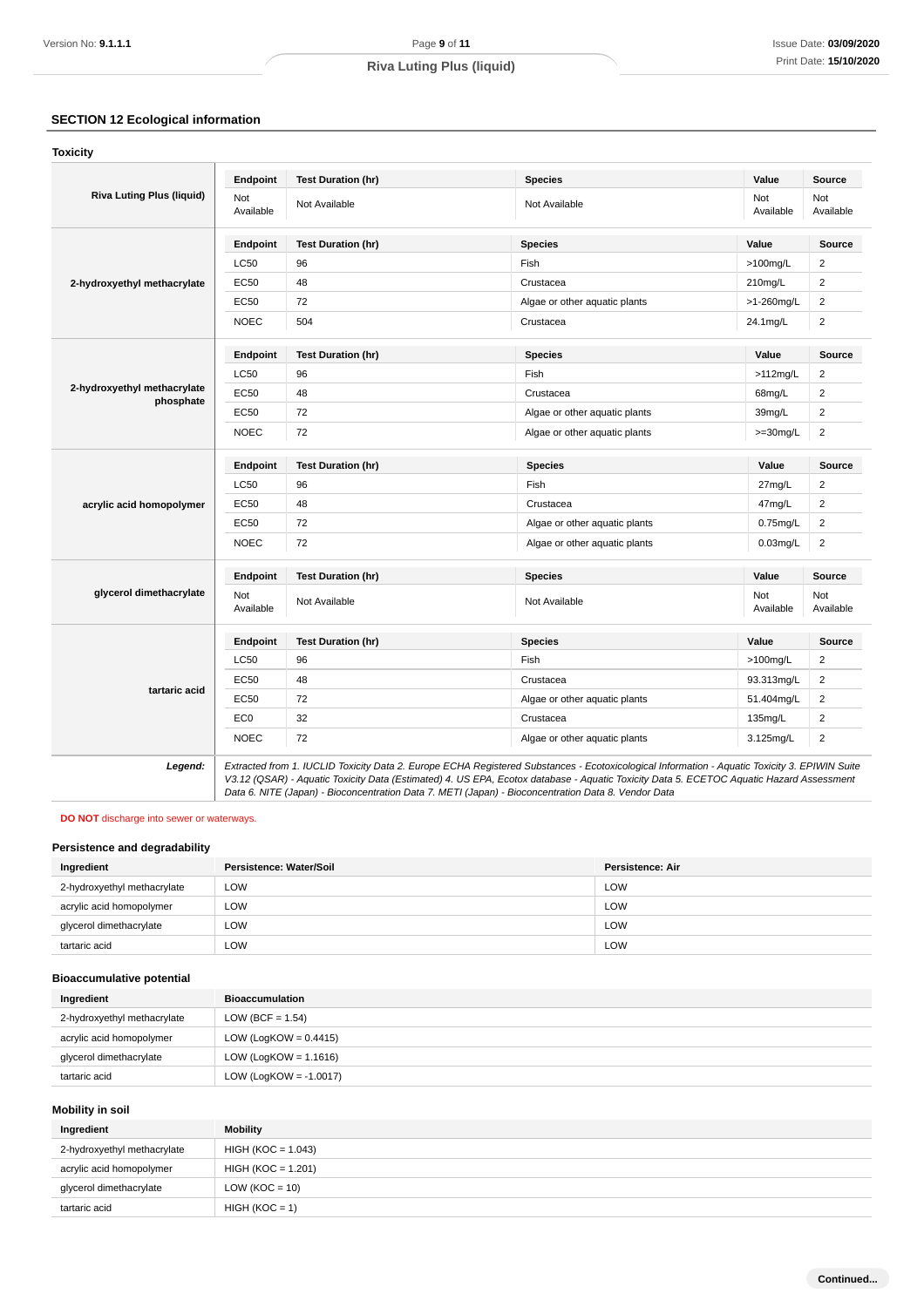# **SECTION 12 Ecological information**

| Version No: 9.1.1.1                                         |                           | Page 9 of 11                                                                                                                                                                                                                                                                                                                                                                                    |                                                                |                  |                            | Issue Date: 03/09/202                              |
|-------------------------------------------------------------|---------------------------|-------------------------------------------------------------------------------------------------------------------------------------------------------------------------------------------------------------------------------------------------------------------------------------------------------------------------------------------------------------------------------------------------|----------------------------------------------------------------|------------------|----------------------------|----------------------------------------------------|
|                                                             |                           | <b>Riva Luting Plus (liquid)</b>                                                                                                                                                                                                                                                                                                                                                                |                                                                |                  |                            | Print Date: 15/10/202                              |
|                                                             |                           |                                                                                                                                                                                                                                                                                                                                                                                                 |                                                                |                  |                            |                                                    |
|                                                             |                           |                                                                                                                                                                                                                                                                                                                                                                                                 |                                                                |                  |                            |                                                    |
| <b>SECTION 12 Ecological information</b><br><b>Toxicity</b> |                           |                                                                                                                                                                                                                                                                                                                                                                                                 |                                                                |                  |                            |                                                    |
|                                                             |                           |                                                                                                                                                                                                                                                                                                                                                                                                 |                                                                |                  |                            |                                                    |
| <b>Riva Luting Plus (liquid)</b>                            | <b>Endpoint</b><br>Not    | <b>Test Duration (hr)</b>                                                                                                                                                                                                                                                                                                                                                                       | <b>Species</b>                                                 |                  | Value<br>Not               | <b>Source</b><br>Not                               |
|                                                             | Available                 | Not Available                                                                                                                                                                                                                                                                                                                                                                                   | Not Available                                                  |                  | Available                  | Available                                          |
|                                                             | Endpoint                  | <b>Test Duration (hr)</b>                                                                                                                                                                                                                                                                                                                                                                       | <b>Species</b>                                                 |                  | Value                      | Source                                             |
|                                                             | <b>LC50</b>               | 96                                                                                                                                                                                                                                                                                                                                                                                              | Fish                                                           |                  | $>100$ mg/L                | $\overline{c}$                                     |
| 2-hydroxyethyl methacrylate                                 | EC50                      | 48                                                                                                                                                                                                                                                                                                                                                                                              | Crustacea                                                      |                  | 210mg/L                    | $\overline{2}$                                     |
|                                                             | EC50                      | 72                                                                                                                                                                                                                                                                                                                                                                                              | Algae or other aquatic plants                                  |                  | >1-260mg/L                 | $\overline{\mathbf{c}}$                            |
|                                                             | <b>NOEC</b>               | 504                                                                                                                                                                                                                                                                                                                                                                                             | Crustacea                                                      |                  | 24.1mg/L                   | $\overline{\mathbf{c}}$                            |
|                                                             | Endpoint                  | <b>Test Duration (hr)</b>                                                                                                                                                                                                                                                                                                                                                                       | <b>Species</b>                                                 |                  | Value                      | <b>Source</b>                                      |
|                                                             | <b>LC50</b>               | 96                                                                                                                                                                                                                                                                                                                                                                                              | Fish                                                           |                  | $>112$ mg/L                | $\mathbf 2$                                        |
| 2-hydroxyethyl methacrylate                                 | EC50                      | 48                                                                                                                                                                                                                                                                                                                                                                                              | Crustacea                                                      |                  | 68mg/L                     | $\overline{\mathbf{c}}$                            |
| phosphate                                                   | EC50                      | 72                                                                                                                                                                                                                                                                                                                                                                                              | Algae or other aquatic plants                                  |                  | 39mg/L                     | $\overline{2}$                                     |
|                                                             | <b>NOEC</b>               | 72                                                                                                                                                                                                                                                                                                                                                                                              | Algae or other aquatic plants                                  |                  | $>=30mg/L$                 | $\overline{c}$                                     |
|                                                             |                           |                                                                                                                                                                                                                                                                                                                                                                                                 |                                                                |                  |                            |                                                    |
|                                                             | Endpoint                  | <b>Test Duration (hr)</b>                                                                                                                                                                                                                                                                                                                                                                       | <b>Species</b>                                                 |                  | Value                      | Source                                             |
|                                                             | LC50                      | 96                                                                                                                                                                                                                                                                                                                                                                                              | Fish                                                           |                  | 27mg/L                     | $\overline{c}$                                     |
| acrylic acid homopolymer                                    | EC50                      | 48                                                                                                                                                                                                                                                                                                                                                                                              | Crustacea                                                      |                  | 47mg/L                     | $\overline{\mathbf{c}}$                            |
|                                                             | EC50<br><b>NOEC</b>       | 72<br>72                                                                                                                                                                                                                                                                                                                                                                                        | Algae or other aquatic plants<br>Algae or other aquatic plants |                  | $0.75$ mg/L<br>$0.03$ mg/L | $\overline{\mathbf{c}}$<br>$\overline{\mathbf{c}}$ |
|                                                             |                           |                                                                                                                                                                                                                                                                                                                                                                                                 |                                                                |                  |                            |                                                    |
|                                                             | Endpoint                  | <b>Test Duration (hr)</b>                                                                                                                                                                                                                                                                                                                                                                       | <b>Species</b>                                                 |                  | Value                      | <b>Source</b>                                      |
| glycerol dimethacrylate                                     | Not<br>Available          | Not Available                                                                                                                                                                                                                                                                                                                                                                                   | Not Available                                                  |                  |                            | Not<br>Available                                   |
|                                                             | Endpoint                  | <b>Test Duration (hr)</b>                                                                                                                                                                                                                                                                                                                                                                       | <b>Species</b>                                                 |                  |                            | <b>Source</b>                                      |
|                                                             | LC50                      | 96                                                                                                                                                                                                                                                                                                                                                                                              | Fish                                                           |                  |                            | $\overline{\mathbf{c}}$                            |
|                                                             | EC50                      | 48                                                                                                                                                                                                                                                                                                                                                                                              | Crustacea                                                      |                  | 93.313mg/L                 | $\overline{\mathbf{c}}$                            |
| tartaric acid                                               | <b>EC50</b>               | 72                                                                                                                                                                                                                                                                                                                                                                                              | Algae or other aquatic plants                                  |                  | 51.404mg/L                 | $\overline{\mathbf{c}}$                            |
|                                                             | EC <sub>0</sub>           | 32                                                                                                                                                                                                                                                                                                                                                                                              | Crustacea                                                      |                  | 135mg/L                    | $\overline{2}$                                     |
|                                                             | <b>NOEC</b>               | 72                                                                                                                                                                                                                                                                                                                                                                                              | Algae or other aquatic plants                                  |                  | 3.125mg/L                  | $\overline{\mathbf{c}}$                            |
| Legend:                                                     |                           | Extracted from 1. IUCLID Toxicity Data 2. Europe ECHA Registered Substances - Ecotoxicological Information - Aquatic Toxicity 3. EPIWIN Suite<br>V3.12 (QSAR) - Aquatic Toxicity Data (Estimated) 4. US EPA, Ecotox database - Aquatic Toxicity Data 5. ECETOC Aquatic Hazard Assessment<br>Data 6. NITE (Japan) - Bioconcentration Data 7. METI (Japan) - Bioconcentration Data 8. Vendor Data |                                                                |                  |                            |                                                    |
| <b>DO NOT</b> discharge into sewer or waterways.            |                           |                                                                                                                                                                                                                                                                                                                                                                                                 |                                                                |                  |                            |                                                    |
| Persistence and degradability                               |                           |                                                                                                                                                                                                                                                                                                                                                                                                 |                                                                |                  |                            |                                                    |
| Ingredient                                                  | Persistence: Water/Soil   |                                                                                                                                                                                                                                                                                                                                                                                                 |                                                                | Persistence: Air |                            |                                                    |
| 2-hydroxyethyl methacrylate                                 | LOW                       |                                                                                                                                                                                                                                                                                                                                                                                                 |                                                                | LOW              |                            |                                                    |
| acrylic acid homopolymer                                    | LOW                       |                                                                                                                                                                                                                                                                                                                                                                                                 |                                                                | LOW              |                            |                                                    |
| glycerol dimethacrylate                                     | LOW                       |                                                                                                                                                                                                                                                                                                                                                                                                 |                                                                | LOW              |                            |                                                    |
| tartaric acid                                               | LOW                       |                                                                                                                                                                                                                                                                                                                                                                                                 |                                                                | LOW              |                            |                                                    |
| <b>Bioaccumulative potential</b>                            |                           |                                                                                                                                                                                                                                                                                                                                                                                                 |                                                                |                  |                            |                                                    |
| Ingredient                                                  | <b>Bioaccumulation</b>    |                                                                                                                                                                                                                                                                                                                                                                                                 |                                                                |                  |                            |                                                    |
| 2-hydroxyethyl methacrylate                                 | $LOW (BCF = 1.54)$        |                                                                                                                                                                                                                                                                                                                                                                                                 |                                                                |                  |                            |                                                    |
| acrylic acid homopolymer                                    | LOW (LogKOW = $0.4415$ )  |                                                                                                                                                                                                                                                                                                                                                                                                 |                                                                |                  |                            |                                                    |
| glycerol dimethacrylate                                     | LOW (LogKOW = $1.1616$ )  |                                                                                                                                                                                                                                                                                                                                                                                                 |                                                                |                  |                            |                                                    |
| tartaric acid                                               | LOW (LogKOW = $-1.0017$ ) |                                                                                                                                                                                                                                                                                                                                                                                                 |                                                                |                  |                            |                                                    |
| <b>Mobility in soil</b>                                     |                           |                                                                                                                                                                                                                                                                                                                                                                                                 |                                                                |                  |                            |                                                    |
| Ingredient                                                  | <b>Mobility</b>           |                                                                                                                                                                                                                                                                                                                                                                                                 |                                                                |                  |                            |                                                    |
| 2-hydroxyethyl methacrylate                                 | $HIGH (KOC = 1.043)$      |                                                                                                                                                                                                                                                                                                                                                                                                 |                                                                |                  |                            |                                                    |
| acrylic acid homopolymer                                    | $HIGH (KOC = 1.201)$      |                                                                                                                                                                                                                                                                                                                                                                                                 |                                                                |                  |                            |                                                    |
| glycerol dimethacrylate                                     | LOW ( $KOC = 10$ )        |                                                                                                                                                                                                                                                                                                                                                                                                 |                                                                |                  |                            |                                                    |
| tartaric acid                                               | $HIGH (KOC = 1)$          |                                                                                                                                                                                                                                                                                                                                                                                                 |                                                                |                  |                            |                                                    |

### **DO NOT** discharge into sewer or waterways.

### **Persistence and degradability**

| Ingredient                  | Persistence: Water/Soil | Persistence: Air |
|-----------------------------|-------------------------|------------------|
| 2-hydroxyethyl methacrylate | LOW                     | LOW              |
| acrylic acid homopolymer    | LOW                     | LOW              |
| glycerol dimethacrylate     | LOW                     | LOW              |
| tartaric acid               | LOW                     | LOW              |

### **Bioaccumulative potential**

| Ingredient                  | <b>Bioaccumulation</b>    |  |  |
|-----------------------------|---------------------------|--|--|
| 2-hydroxyethyl methacrylate | LOW (BCF = $1.54$ )       |  |  |
| acrylic acid homopolymer    | LOW (LogKOW = $0.4415$ )  |  |  |
| glycerol dimethacrylate     | LOW (LogKOW = $1.1616$ )  |  |  |
| tartaric acid               | LOW (LogKOW = $-1.0017$ ) |  |  |

### **Mobility in soil**

| Ingredient                  | <b>Mobility</b>      |  |  |
|-----------------------------|----------------------|--|--|
| 2-hydroxyethyl methacrylate | $HIGH (KOC = 1.043)$ |  |  |
| acrylic acid homopolymer    | $HIGH (KOC = 1.201)$ |  |  |
| glycerol dimethacrylate     | LOW ( $KOC = 10$ )   |  |  |
| tartaric acid               | $HIGH (KOC = 1)$     |  |  |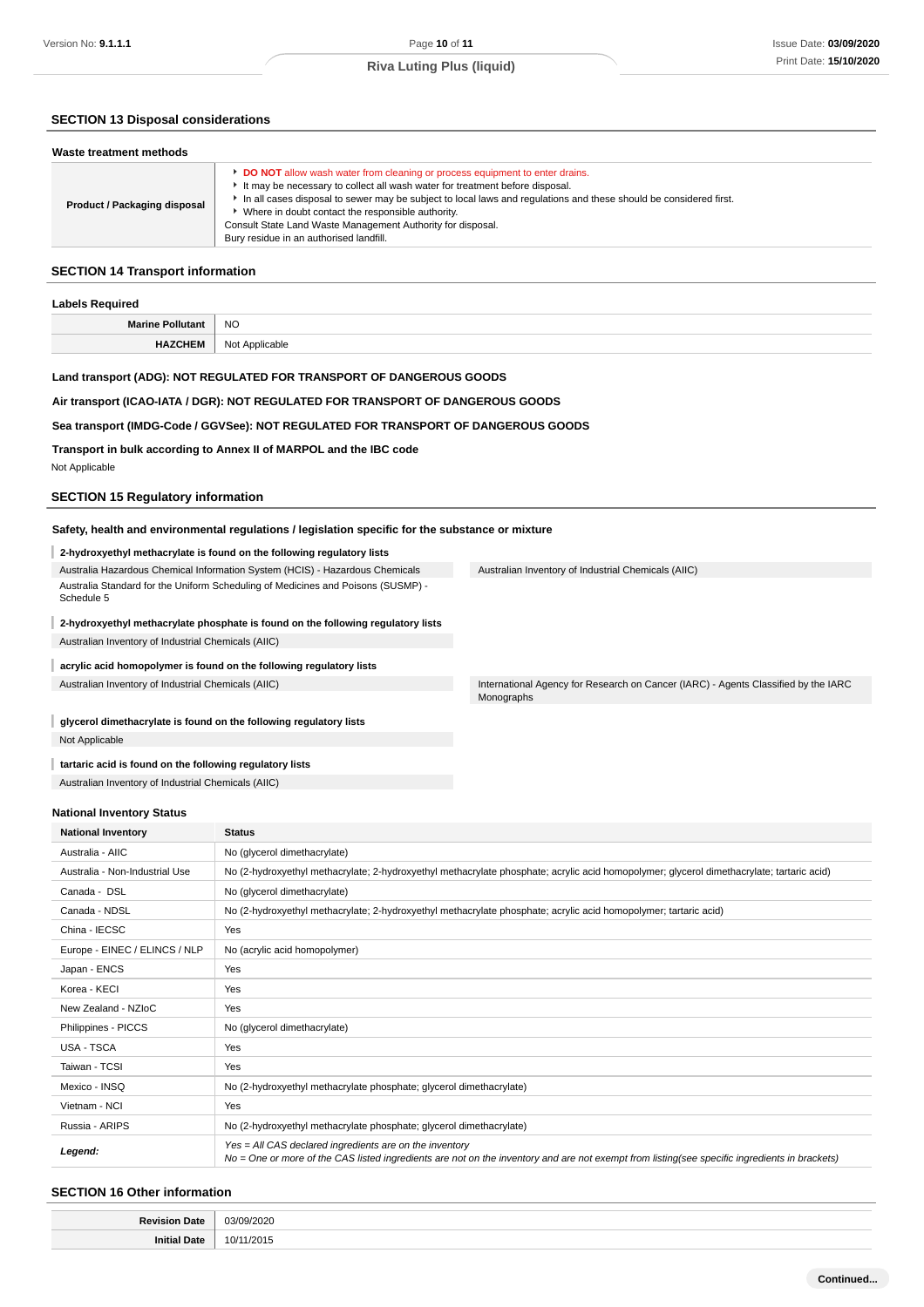### **SECTION 13 Disposal considerations**

| Waste treatment methods      |                                                                                                                                                                                                                                                                                                                                                                                                                                                 |  |  |  |
|------------------------------|-------------------------------------------------------------------------------------------------------------------------------------------------------------------------------------------------------------------------------------------------------------------------------------------------------------------------------------------------------------------------------------------------------------------------------------------------|--|--|--|
| Product / Packaging disposal | DO NOT allow wash water from cleaning or process equipment to enter drains.<br>It may be necessary to collect all wash water for treatment before disposal.<br>In all cases disposal to sewer may be subject to local laws and regulations and these should be considered first.<br>Where in doubt contact the responsible authority.<br>Consult State Land Waste Management Authority for disposal.<br>Bury residue in an authorised landfill. |  |  |  |

### **SECTION 14 Transport information**

| <b>Labels Required</b>  |                |  |
|-------------------------|----------------|--|
| <b>Marine Pollutant</b> | <b>NO</b>      |  |
| <b>HAZCHEM</b>          | Not Applicable |  |
|                         |                |  |

### **Land transport (ADG): NOT REGULATED FOR TRANSPORT OF DANGEROUS GOODS**

### **Air transport (ICAO-IATA / DGR): NOT REGULATED FOR TRANSPORT OF DANGEROUS GOODS**

#### **Sea transport (IMDG-Code / GGVSee): NOT REGULATED FOR TRANSPORT OF DANGEROUS GOODS**

**Transport in bulk according to Annex II of MARPOL and the IBC code** Not Applicable

### **SECTION 15 Regulatory information**

#### **Safety, health and environmental regulations / legislation specific for the substance or mixture**

# **2-hydroxyethyl methacrylate is found on the following regulatory lists**

Australia Hazardous Chemical Information System (HCIS) - Hazardous Chemicals Australia Standard for the Uniform Scheduling of Medicines and Poisons (SUSMP) - Schedule 5

### **2-hydroxyethyl methacrylate phosphate is found on the following regulatory lists** Australian Inventory of Industrial Chemicals (AIIC)

**acrylic acid homopolymer is found on the following regulatory lists**

**glycerol dimethacrylate is found on the following regulatory lists** Not Applicable

## **tartaric acid is found on the following regulatory lists**

Australian Inventory of Industrial Chemicals (AIIC)

### **National Inventory Status**

| <b>National Inventory</b>      | <b>Status</b>                                                                                                                                                                                            |  |  |
|--------------------------------|----------------------------------------------------------------------------------------------------------------------------------------------------------------------------------------------------------|--|--|
| Australia - AIIC               | No (glycerol dimethacrylate)                                                                                                                                                                             |  |  |
| Australia - Non-Industrial Use | No (2-hydroxyethyl methacrylate; 2-hydroxyethyl methacrylate phosphate; acrylic acid homopolymer; glycerol dimethacrylate; tartaric acid)                                                                |  |  |
| Canada - DSL                   | No (glycerol dimethacrylate)                                                                                                                                                                             |  |  |
| Canada - NDSL                  | No (2-hydroxyethyl methacrylate; 2-hydroxyethyl methacrylate phosphate; acrylic acid homopolymer; tartaric acid)                                                                                         |  |  |
| China - IECSC                  | Yes                                                                                                                                                                                                      |  |  |
| Europe - EINEC / ELINCS / NLP  | No (acrylic acid homopolymer)                                                                                                                                                                            |  |  |
| Japan - ENCS                   | Yes                                                                                                                                                                                                      |  |  |
| Korea - KECI                   | Yes                                                                                                                                                                                                      |  |  |
| New Zealand - NZIoC            | Yes                                                                                                                                                                                                      |  |  |
| Philippines - PICCS            | No (glycerol dimethacrylate)                                                                                                                                                                             |  |  |
| USA - TSCA                     | Yes                                                                                                                                                                                                      |  |  |
| Taiwan - TCSI                  | Yes                                                                                                                                                                                                      |  |  |
| Mexico - INSQ                  | No (2-hydroxyethyl methacrylate phosphate; glycerol dimethacrylate)                                                                                                                                      |  |  |
| Vietnam - NCI                  | Yes                                                                                                                                                                                                      |  |  |
| Russia - ARIPS                 | No (2-hydroxyethyl methacrylate phosphate; glycerol dimethacrylate)                                                                                                                                      |  |  |
| Legend:                        | Yes = All CAS declared ingredients are on the inventory<br>No = One or more of the CAS listed ingredients are not on the inventory and are not exempt from listing(see specific ingredients in brackets) |  |  |

### **SECTION 16 Other information**

| ∍-<br> | 23/0<br>$\overline{\phantom{a}}$<br>$\sim$ $\sim$ $\sim$<br>$\sim$<br>. |
|--------|-------------------------------------------------------------------------|
|        | ו^∩?<br>10/<br>.                                                        |

Australian Inventory of Industrial Chemicals (AIIC) **International Agency for Research on Cancer (IARC)** - Agents Classified by the IARC Monographs

Australian Inventory of Industrial Chemicals (AIIC)